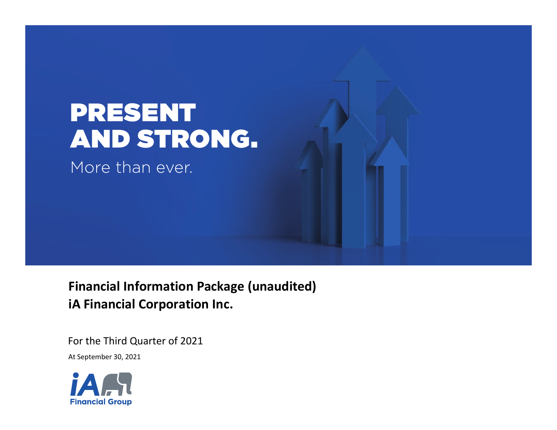

 **Financial Information Package (unaudited) iA Financial Corporation Inc.**

For the Third Quarter of 2021

At September 30, 2021

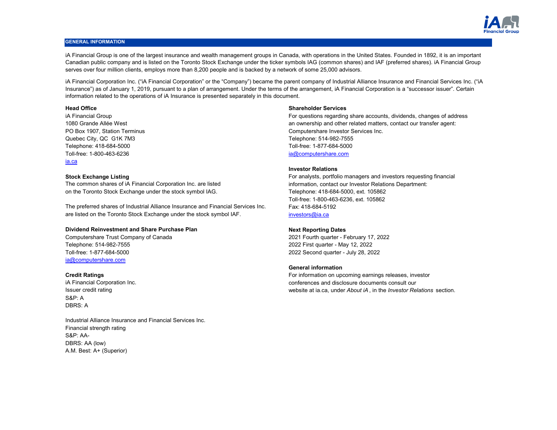

# **GENERAL INFORMATION**

iA Financial Group is one of the largest insurance and wealth management groups in Canada, with operations in the United States. Founded in 1892, it is an important Canadian public company and is listed on the Toronto Stock Exchange under the ticker symbols IAG (common shares) and IAF (preferred shares). iA Financial Group serves over four million clients, employs more than 8,200 people and is backed by a network of some 25,000 advisors.

iA Financial Corporation Inc. ("iA Financial Corporation" or the "Company") became the parent company of Industrial Alliance Insurance and Financial Services Inc. ("iA Insurance") as of January 1, 2019, pursuant to a plan of arrangement. Under the terms of the arrangement, iA Financial Corporation is a "successor issuer". Certain information related to the operations of iA Insurance is presented separately in this document.

Quebec City, QC G1K 7M3 Telephone: 514-982-7555 Telephone: 418-684-5000 Toll-free: 1-877-684-5000 Toll-free: 1-800-463-6236 [ia@computershare.com](mailto:ia@computershare.com) [ia.ca](www.ia.ca)

The common shares of iA Financial Corporation Inc. are listed on the Toronto Stock Exchange under the stock symbol IAG.

are listed on the Toronto Stock Exchange under the stock symbol IAF. The preferred shares of Industrial Alliance Insurance and Financial Services Inc.

# **Dividend Reinvestment and Share Purchase Plan**

Computershare Trust Company of Canada 2021 Fourth quarter - February 17, 2022 Telephone: 514-982-7555 2022 First quarter - May 12, 2022 Toll-free: 1-877-684-5000 2022 Second quarter - July 28, 2022 [ia@computershare.com](mailto: ia@computershare.com)

S&P: A DBRS: A iA Financial Corporation Inc. Issuer credit rating

Financial strength rating S&P: AA-DBRS: AA (low) A.M. Best: A+ (Superior) Industrial Alliance Insurance and Financial Services Inc.

# **Head Office Shareholder Services**

iA Financial Group For questions regarding share accounts, dividends, changes of address 1080 Grande Allée West an ownership and other related matters, contact our transfer agent: PO Box 1907, Station Terminus Computershare Investor Services Inc.

# **Investor Relations**

**Stock Exchange Listing** For analysts, portfolio managers and investors requesting financial information, contact our Investor Relations Department: Telephone: 418-684-5000, ext. 105862 Toll-free: 1-800-463-6236, ext. 105862 Fax: 418-684-5192 [investors@ia.ca](mailto:investors@ia.ca)

# **Next Reporting Dates**

# **General information**

**Credit Ratings Credit Ratings For information on upcoming earnings releases, investor Credit Ratings** releases, investor conferences and disclosure documents consult our website at ia.ca, under *About iA* , in the *Investor Relations* section.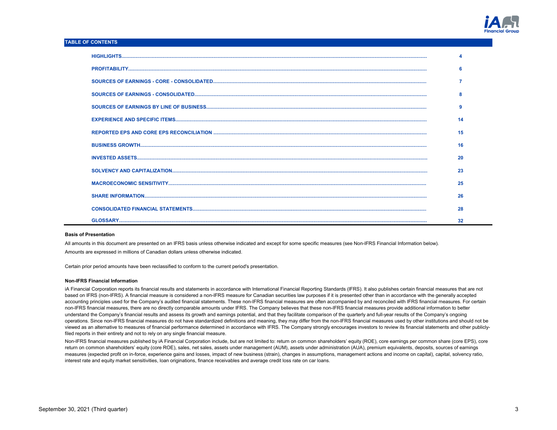

# **TABLE OF CONTENTS**

|  | 6  |  |
|--|----|--|
|  |    |  |
|  |    |  |
|  | 9  |  |
|  |    |  |
|  | 15 |  |
|  | 16 |  |
|  | 20 |  |
|  | 23 |  |
|  | 25 |  |
|  | 26 |  |
|  | 28 |  |
|  | 32 |  |

## **Basis of Presentation**

All amounts in this document are presented on an IFRS basis unless otherwise indicated and except for some specific measures (see Non-IFRS Financial Information below).

Amounts are expressed in millions of Canadian dollars unless otherwise indicated.

Certain prior period amounts have been reclassified to conform to the current period's presentation.

## **Non-IFRS Financial Information**

iA Financial Corporation reports its financial results and statements in accordance with International Financial Reporting Standards (IFRS). It also publishes certain financial measures that are not based on IFRS (non-IFRS). A financial measure is considered a non-IFRS measure for Canadian securities law purposes if it is presented other than in accordance with the generally accepted accounting principles used for the Company's audited financial statements. These non-IFRS financial measures are often accompanied by and reconciled with IFRS financial measures. For certain non-IFRS financial measures, there are no directly comparable amounts under IFRS. The Company believes that these non-IFRS financial measures provide additional information to better understand the Company's financial results and assess its growth and earnings potential, and that they facilitate comparison of the quarterly and full-year results of the Company's ongoing operations. Since non-IFRS financial measures do not have standardized definitions and meaning, they may differ from the non-IFRS financial measures used by other institutions and should not be viewed as an alternative to measures of financial performance determined in accordance with IFRS. The Company strongly encourages investors to review its financial statements and other publiclyfiled reports in their entirety and not to rely on any single financial measure.

Non-IFRS financial measures published by iA Financial Corporation include, but are not limited to: return on common shareholders' equity (ROE), core earnings per common share (core EPS), core return on common shareholders' equity (core ROE), sales, net sales, assets under management (AUM), assets under administration (AUA), premium equivalents, deposits, sources of earnings measures (expected profit on in-force, experience gains and losses, impact of new business (strain), changes in assumptions, management actions and income on capital), capital, solvency ratio, interest rate and equity market sensitivities, loan originations, finance receivables and average credit loss rate on car loans.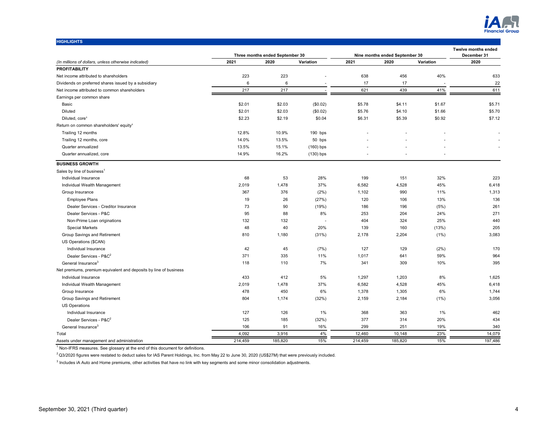

| <b>HIGHLIGHTS</b>                                                            |          |                                 |             |           |                                        |           |                            |
|------------------------------------------------------------------------------|----------|---------------------------------|-------------|-----------|----------------------------------------|-----------|----------------------------|
|                                                                              |          |                                 |             |           |                                        |           | <b>Twelve months ended</b> |
|                                                                              | 2021     | Three months ended September 30 |             | 2021      | Nine months ended September 30<br>2020 |           | December 31<br>2020        |
| (In millions of dollars, unless otherwise indicated)<br><b>PROFITABILITY</b> |          | 2020                            | Variation   |           |                                        | Variation |                            |
|                                                                              |          | 223                             |             | 638       |                                        | 40%       | 633                        |
| Net income attributed to shareholders                                        | 223      |                                 |             |           | 456                                    |           |                            |
| Dividends on preferred shares issued by a subsidiary                         | 6<br>217 | 6<br>217                        |             | 17<br>621 | 17<br>439                              | 41%       | 22<br>611                  |
| Net income attributed to common shareholders<br>Earnings per common share    |          |                                 |             |           |                                        |           |                            |
| Basic                                                                        | \$2.01   | \$2.03                          |             | \$5.78    | \$4.11                                 | \$1.67    | \$5.71                     |
| Diluted                                                                      | \$2.01   | \$2.03                          | (\$0.02)    | \$5.76    | \$4.10                                 | \$1.66    | \$5.70                     |
|                                                                              |          |                                 | (\$0.02)    |           |                                        |           |                            |
| Diluted, core <sup>1</sup>                                                   | \$2.23   | \$2.19                          | \$0.04      | \$6.31    | \$5.39                                 | \$0.92    | \$7.12                     |
| Return on common shareholders' equity <sup>1</sup>                           |          |                                 |             |           |                                        |           |                            |
| Trailing 12 months                                                           | 12.8%    | 10.9%                           | 190 bps     |           |                                        |           |                            |
| Trailing 12 months, core                                                     | 14.0%    | 13.5%                           | 50 bps      |           |                                        |           |                            |
| Quarter annualized                                                           | 13.5%    | 15.1%                           | $(160)$ bps |           |                                        |           |                            |
| Quarter annualized, core                                                     | 14.9%    | 16.2%                           | $(130)$ bps | ä,        |                                        |           |                            |
| <b>BUSINESS GROWTH</b>                                                       |          |                                 |             |           |                                        |           |                            |
| Sales by line of business <sup>1</sup>                                       |          |                                 |             |           |                                        |           |                            |
| Individual Insurance                                                         | 68       | 53                              | 28%         | 199       | 151                                    | 32%       | 223                        |
| Individual Wealth Management                                                 | 2,019    | 1,478                           | 37%         | 6,582     | 4,528                                  | 45%       | 6,418                      |
| Group Insurance                                                              | 367      | 376                             | (2%)        | 1,102     | 990                                    | 11%       | 1,313                      |
| <b>Employee Plans</b>                                                        | 19       | 26                              | (27%)       | 120       | 106                                    | 13%       | 136                        |
| Dealer Services - Creditor Insurance                                         | 73       | 90                              | (19%)       | 186       | 196                                    | (5%)      | 261                        |
| Dealer Services - P&C                                                        | 95       | 88                              | 8%          | 253       | 204                                    | 24%       | 271                        |
| Non-Prime Loan originations                                                  | 132      | 132                             | ÷,          | 404       | 324                                    | 25%       | 440                        |
| <b>Special Markets</b>                                                       | 48       | 40                              | 20%         | 139       | 160                                    | (13%)     | 205                        |
| Group Savings and Retirement                                                 | 810      | 1,180                           | (31%)       | 2,178     | 2,204                                  | (1%)      | 3,083                      |
| US Operations (\$CAN)                                                        |          |                                 |             |           |                                        |           |                            |
| Individual Insurance                                                         | 42       | 45                              | (7%)        | 127       | 129                                    | (2%)      | 170                        |
| Dealer Services - P&C <sup>2</sup>                                           | 371      | 335                             | 11%         | 1,017     | 641                                    | 59%       | 964                        |
| General Insurance <sup>3</sup>                                               | 118      | 110                             | 7%          | 341       | 309                                    | 10%       | 395                        |
| Net premiums, premium equivalent and deposits by line of business            |          |                                 |             |           |                                        |           |                            |
| Individual Insurance                                                         | 433      | 412                             | 5%          | 1,297     | 1,203                                  | 8%        | 1,625                      |
| Individual Wealth Management                                                 | 2,019    | 1,478                           | 37%         | 6,582     | 4,528                                  | 45%       | 6,418                      |
| Group Insurance                                                              | 478      | 450                             | 6%          | 1,378     | 1,305                                  | 6%        | 1,744                      |
| Group Savings and Retirement                                                 | 804      | 1,174                           | (32%)       | 2,159     | 2,184                                  | $(1\%)$   | 3,056                      |
| <b>US Operations</b>                                                         |          |                                 |             |           |                                        |           |                            |
| Individual Insurance                                                         | 127      | 126                             | 1%          | 368       | 363                                    | 1%        | 462                        |
| Dealer Services - P&C <sup>2</sup>                                           | 125      | 185                             | (32%)       | 377       | 314                                    | 20%       | 434                        |
| General Insurance <sup>3</sup>                                               | 106      | 91                              | 16%         | 299       | 251                                    | 19%       | 340                        |
| Total                                                                        | 4,092    | 3,916                           | 4%          | 12,460    | 10,148                                 | 23%       | 14,079                     |
| Assets under management and administration                                   | 214,459  | 185,820                         | 15%         | 214,459   | 185,820                                | 15%       | 197,486                    |

 $^{2}$ Q3/2020 figures were restated to deduct sales for IAS Parent Holdings, Inc. from May 22 to June 30, 2020 (US\$27M) that were previously included.

<sup>3</sup> Includes iA Auto and Home premiums, other activities that have no link with key segments and some minor consolidation adjustments.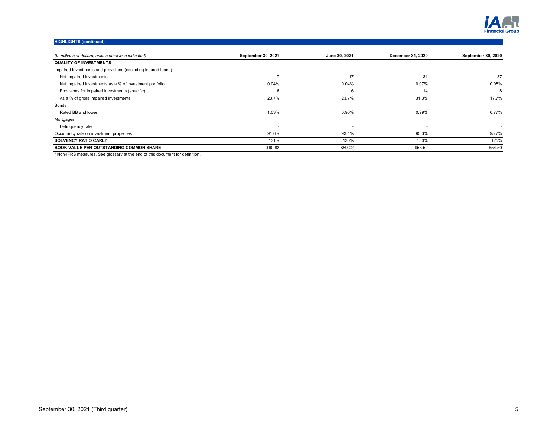

# **HIGHLIGHTS (continued)**

| (In millions of dollars, unless otherwise indicated)          | September 30, 2021       | June 30, 2021 | December 31, 2020 | <b>September 30, 2020</b> |
|---------------------------------------------------------------|--------------------------|---------------|-------------------|---------------------------|
| <b>QUALITY OF INVESTMENTS</b>                                 |                          |               |                   |                           |
| Impaired investments and provisions (excluding insured loans) |                          |               |                   |                           |
| Net impaired investments                                      | 17                       | 17            | 31                | 37                        |
| Net impaired investments as a % of investment portfolio       | 0.04%                    | 0.04%         | 0.07%             | 0.08%                     |
| Provisions for impaired investments (specific)                |                          | 6             | 14                | 8                         |
| As a % of gross impaired investments                          | 23.7%                    | 23.7%         | 31.3%             | 17.7%                     |
| Bonds                                                         |                          |               |                   |                           |
| Rated BB and lower                                            | 1.03%                    | 0.90%         | 0.99%             | 0.77%                     |
| Mortgages                                                     |                          |               |                   |                           |
| Delinguency rate                                              | $\overline{\phantom{a}}$ |               |                   |                           |
| Occupancy rate on investment properties                       | 91.6%                    | 93.4%         | 95.3%             | 95.7%                     |
| SOLVENCY RATIO CARLI'                                         | 131%                     | 130%          | 130%              | 125%                      |
| <b>BOOK VALUE PER OUTSTANDING COMMON SHARE</b>                | \$60.82                  | \$59.02       | \$55.52           | \$54.50                   |

<sup>1</sup> Non-IFRS measures. See glossary at the end of this document for definition.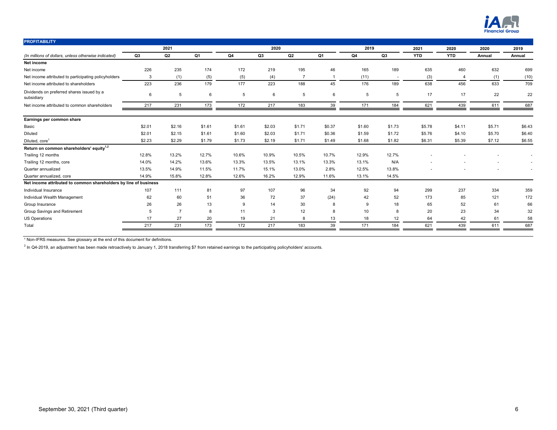

| <b>PROFITABILITY</b>                                             |        |                |        |        |        |                |                |        |        |            |                |        |        |
|------------------------------------------------------------------|--------|----------------|--------|--------|--------|----------------|----------------|--------|--------|------------|----------------|--------|--------|
|                                                                  |        | 2021           |        |        | 2020   |                |                | 2019   |        | 2021       | 2020           | 2020   | 2019   |
| (In millions of dollars, unless otherwise indicated)             | Q3     | Q2             | Q1     | Q4     | Q3     | Q <sub>2</sub> | Q1             | Q4     | Q3     | <b>YTD</b> | <b>YTD</b>     | Annual | Annual |
| Net income                                                       |        |                |        |        |        |                |                |        |        |            |                |        |        |
| Net income                                                       | 226    | 235            | 174    | 172    | 219    | 195            | 46             | 165    | 189    | 635        | 460            | 632    | 699    |
| Net income attributed to participating policyholders             | 3      | (1)            | (5)    | (5)    | (4)    | $\overline{7}$ | $\overline{1}$ | (11)   | $\sim$ | (3)        | $\overline{4}$ | (1)    | (10)   |
| Net income attributed to shareholders                            | 223    | 236            | 179    | 177    | 223    | 188            | 45             | 176    | 189    | 638        | 456            | 633    | 709    |
| Dividends on preferred shares issued by a<br>subsidiary          | 6      | 5              | 6      | 5      | 6      | 5              | 6              | 5      | 5      | 17         | 17             | 22     | 22     |
| Net income attributed to common shareholders                     | 217    | 231            | 173    | 172    | 217    | 183            | 39             | 171    | 184    | 621        | 439            | 611    | 687    |
| Earnings per common share                                        |        |                |        |        |        |                |                |        |        |            |                |        |        |
| Basic                                                            | \$2.01 | \$2.16         | \$1.61 | \$1.61 | \$2.03 | \$1.71         | \$0.37         | \$1.60 | \$1.73 | \$5.78     | \$4.11         | \$5.71 | \$6.43 |
| Diluted                                                          | \$2.01 | \$2.15         | \$1.61 | \$1.60 | \$2.03 | \$1.71         | \$0.36         | \$1.59 | \$1.72 | \$5.76     | \$4.10         | \$5.70 | \$6.40 |
| Diluted, core <sup>1</sup>                                       | \$2.23 | \$2.29         | \$1.79 | \$1.73 | \$2.19 | \$1.71         | \$1.49         | \$1.68 | \$1.82 | \$6.31     | \$5.39         | \$7.12 | \$6.55 |
| Return on common shareholders' equity <sup>1,2</sup>             |        |                |        |        |        |                |                |        |        |            |                |        |        |
| Trailing 12 months                                               | 12.8%  | 13.2%          | 12.7%  | 10.6%  | 10.9%  | 10.5%          | 10.7%          | 12.9%  | 12.7%  |            |                |        |        |
| Trailing 12 months, core                                         | 14.0%  | 14.2%          | 13.6%  | 13.3%  | 13.5%  | 13.1%          | 13.3%          | 13.1%  | N/A    |            |                |        | $\sim$ |
| Quarter annualized                                               | 13.5%  | 14.9%          | 11.5%  | 11.7%  | 15.1%  | 13.0%          | 2.8%           | 12.5%  | 13.8%  |            |                |        | $\sim$ |
| Quarter annualized, core                                         | 14.9%  | 15.8%          | 12.8%  | 12.6%  | 16.2%  | 12.9%          | 11.6%          | 13.1%  | 14.5%  |            |                |        |        |
| Net income attributed to common shareholders by line of business |        |                |        |        |        |                |                |        |        |            |                |        |        |
| Individual Insurance                                             | 107    | 111            | 81     | 97     | 107    | 96             | 34             | 92     | 94     | 299        | 237            | 334    | 359    |
| Individual Wealth Management                                     | 62     | 60             | 51     | 36     | 72     | 37             | (24)           | 42     | 52     | 173        | 85             | 121    | 172    |
| Group Insurance                                                  | 26     | 26             | 13     | 9      | 14     | 30             | 8              | 9      | 18     | 65         | 52             | 61     | 66     |
| Group Savings and Retirement                                     | 5      | $\overline{7}$ | 8      | 11     | 3      | 12             | 8              | 10     | 8      | 20         | 23             | 34     | 32     |
| <b>US Operations</b>                                             | 17     | 27             | 20     | 19     | 21     | 8              | 13             | 18     | 12     | 64         | 42             | 61     | 58     |
| Total                                                            | 217    | 231            | 173    | 172    | 217    | 183            | 39             | 171    | 184    | 621        | 439            | 611    | 687    |
|                                                                  |        |                |        |        |        |                |                |        |        |            |                |        |        |

 $^2$  In Q4-2019, an adjustment has been made retroactively to January 1, 2018 transferring \$7 from retained earnings to the participating policyholders' accounts.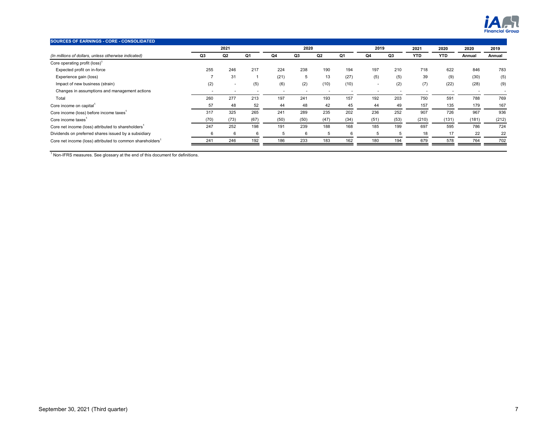

| SOURCES OF EARNINGS - CORE - CONSOLIDATED                             |      |                          |      |                          |      |      |                          |                          |                |                          |                          |        |        |
|-----------------------------------------------------------------------|------|--------------------------|------|--------------------------|------|------|--------------------------|--------------------------|----------------|--------------------------|--------------------------|--------|--------|
|                                                                       |      | 2021                     |      |                          | 2020 |      |                          | 2019                     |                | 2021                     | 2020                     | 2020   | 2019   |
| (In millions of dollars, unless otherwise indicated)                  | Q3   | Q <sub>2</sub>           | Q1   | Q4                       | Q3   | Q2   | Q1                       | Q4                       | Q3             | <b>YTD</b>               | <b>YTD</b>               | Annual | Annual |
| Core operating profit (loss) <sup>1</sup>                             |      |                          |      |                          |      |      |                          |                          |                |                          |                          |        |        |
| Expected profit on in-force                                           | 255  | 246                      | 217  | 224                      | 238  | 190  | 194                      | 197                      | 210            | 718                      | 622                      | 846    | 783    |
| Experience gain (loss)                                                | ,    | 31                       |      | (21)                     | 5    | 13   | (27)                     | (5)                      | (5)            | 39                       | (9)                      | (30)   | (5)    |
| Impact of new business (strain)                                       | (2)  | $\overline{\phantom{a}}$ | (5)  | (6)                      | (2)  | (10) | (10)                     | $\overline{\phantom{a}}$ | (2)            | (7)                      | (22)                     | (28)   | (9)    |
| Changes in assumptions and management actions                         |      | $\overline{\phantom{a}}$ |      | $\overline{\phantom{a}}$ |      |      | $\overline{\phantom{a}}$ |                          | $\overline{a}$ | $\overline{\phantom{a}}$ | $\overline{\phantom{a}}$ |        |        |
| Total                                                                 | 260  | 277                      | 213  | 197                      | 241  | 193  | 157                      | 192                      | 203            | 750                      | 591                      | 788    | 769    |
| Core income on capital <sup>1</sup>                                   | 57   | 48                       | 52   | 44                       | 48   | 42   | 45                       | 44                       | 49             | 157                      | 135                      | 179    | 167    |
| Core income (loss) before income taxes <sup>1</sup>                   | 317  | 325                      | 265  | 241                      | 289  | 235  | 202                      | 236                      | 252            | 907                      | 726                      | 967    | 936    |
| Core income taxes <sup>1</sup>                                        | (70) | (73)                     | (67) | (50)                     | (50) | (47) | (34)                     | (51)                     | (53)           | (210)                    | (131)                    | (181)  | (212)  |
| Core net income (loss) attributed to shareholders <sup>1</sup>        | 247  | 252                      | 198  | 191                      | 239  | 188  | 168                      | 185                      | 199            | 697                      | 595                      | 786    | 724    |
| Dividends on preferred shares issued by a subsidiary                  | 6    | 6                        | 6    | 5                        | 6    | -5   | 6                        | 5                        | 5              | 18                       | 17                       | 22     | 22     |
| Core net income (loss) attributed to common shareholders <sup>1</sup> | 241  | 246                      | 192  | 186                      | 233  | 183  | 162                      | 180                      | 194            | 679                      | 578                      | 764    | 702    |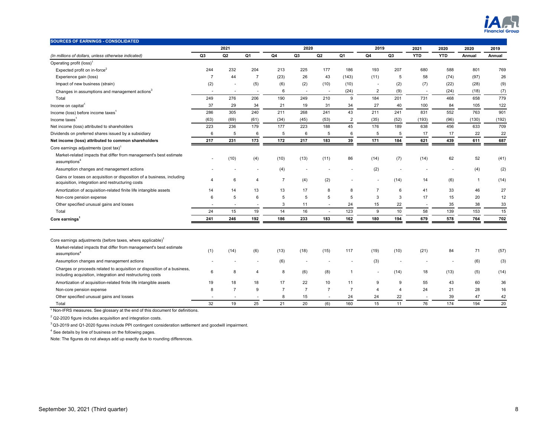

| 2021<br>2020<br>2019<br>2021<br>2020<br>2020<br>Q <sub>1</sub><br>Q <sub>4</sub><br>Q <sub>3</sub><br>Q2<br>Q <sub>1</sub><br>Q <sub>4</sub><br>Q <sub>3</sub><br><b>YTD</b><br><b>YTD</b><br>Q3<br>Q2<br>(In millions of dollars, unless otherwise indicated)<br>Annual<br>Operating profit (loss) <sup>1</sup><br>244<br>232<br>204<br>213<br>225<br>177<br>186<br>193<br>207<br>680<br>588<br>801<br>Expected profit on in-force <sup>2</sup><br>$\overline{7}$ | 2019<br>Annual                 |
|--------------------------------------------------------------------------------------------------------------------------------------------------------------------------------------------------------------------------------------------------------------------------------------------------------------------------------------------------------------------------------------------------------------------------------------------------------------------|--------------------------------|
|                                                                                                                                                                                                                                                                                                                                                                                                                                                                    | 769<br>26<br>(9)<br>(7)<br>779 |
|                                                                                                                                                                                                                                                                                                                                                                                                                                                                    |                                |
|                                                                                                                                                                                                                                                                                                                                                                                                                                                                    |                                |
|                                                                                                                                                                                                                                                                                                                                                                                                                                                                    |                                |
| $\overline{7}$<br>44<br>(23)<br>26<br>(97)<br>Experience gain (loss)<br>43<br>(143)<br>(11)<br>5<br>58<br>(74)                                                                                                                                                                                                                                                                                                                                                     |                                |
| (2)<br>(5)<br>Impact of new business (strain)<br>(6)<br>(2)<br>(10)<br>(2)<br>(7)<br>(22)<br>(28)<br>(10)                                                                                                                                                                                                                                                                                                                                                          |                                |
| 6<br>(24)<br>2<br>(9)<br>(24)<br>(18)<br>Changes in assumptions and management actions <sup>3</sup><br>$\sim$<br>$\overline{\phantom{a}}$<br>$\overline{\phantom{a}}$<br>$\overline{\phantom{a}}$<br>$\overline{\phantom{a}}$                                                                                                                                                                                                                                      |                                |
| 276<br>206<br>184<br>731<br>468<br>658<br>Total<br>249<br>190<br>249<br>210<br>201<br>9                                                                                                                                                                                                                                                                                                                                                                            |                                |
| Income on capital <sup>1</sup><br>37<br>29<br>34<br>21<br>19<br>31<br>34<br>27<br>40<br>100<br>84<br>105                                                                                                                                                                                                                                                                                                                                                           | 122                            |
| 552<br>763<br>286<br>305<br>240<br>268<br>241<br>43<br>211<br>831<br>211<br>241<br>Income (loss) before income taxes <sup>1</sup>                                                                                                                                                                                                                                                                                                                                  | 901                            |
| (63)<br>(69)<br>(61)<br>(34)<br>(45)<br>(53)<br>$\overline{2}$<br>(35)<br>(96)<br>(130)<br>(52)<br>(193)<br>Income taxes <sup>1</sup>                                                                                                                                                                                                                                                                                                                              | (192)                          |
| 179<br>177<br>45<br>638<br>456<br>633<br>Net income (loss) attributed to shareholders<br>223<br>236<br>223<br>188<br>176<br>189                                                                                                                                                                                                                                                                                                                                    | 709                            |
| 5<br>5<br>Dividends on preferred shares issued by a subsidiary<br>6<br>6<br>6<br>5<br>6<br>5<br>5<br>17<br>17<br>22                                                                                                                                                                                                                                                                                                                                                | 22                             |
| 231<br>173<br>172<br>183<br>39<br>171<br>Net income (loss) attributed to common shareholders<br>217<br>217<br>184<br>621<br>439<br>611                                                                                                                                                                                                                                                                                                                             | 687                            |
| Core earnings adjustments (post tax) <sup>1</sup>                                                                                                                                                                                                                                                                                                                                                                                                                  |                                |
| Market-related impacts that differ from management's best estimate<br>(10)<br>(4)<br>(10)<br>(13)<br>86<br>(14)<br>(7)<br>(14)<br>62<br>52<br>(11)<br>$\overline{\phantom{a}}$<br>assumptions <sup>4</sup>                                                                                                                                                                                                                                                         | (41)                           |
| (2)<br>Assumption changes and management actions<br>(4)<br>(4)                                                                                                                                                                                                                                                                                                                                                                                                     | (2)                            |
| Gains or losses on acquisition or disposition of a business, including<br>6<br>$\overline{7}$<br>(2)<br>(4)<br>(6)<br>$\overline{4}$<br>(14)<br>14<br>$\overline{1}$<br>4<br>$\blacksquare$<br>$\blacksquare$<br>acquisition, integration and restructuring costs                                                                                                                                                                                                  | (14)                           |
| Amortization of acquisition-related finite life intangible assets<br>13<br>8<br>$\overline{7}$<br>6<br>33<br>46<br>14<br>13<br>17<br>8<br>41<br>14                                                                                                                                                                                                                                                                                                                 | 27                             |
| 6<br>5<br>6<br>5<br>5<br>5<br>5<br>3<br>3<br>17<br>15<br>20<br>Non-core pension expense                                                                                                                                                                                                                                                                                                                                                                            | 12                             |
| Other specified unusual gains and losses<br>3<br>22<br>35<br>38<br>11<br>24<br>15<br>$\sim$<br>$\sim$<br>$\overline{\phantom{a}}$<br>$\sim$<br>$\overline{\phantom{a}}$                                                                                                                                                                                                                                                                                            | 33                             |
| 24<br>15<br>14<br>16<br>123<br>9<br>10<br>139<br>153<br>19<br>58<br>Total<br>$\overline{\phantom{a}}$                                                                                                                                                                                                                                                                                                                                                              | 15                             |
| 241<br>246<br>192<br>186<br>233<br>183<br>162<br>180<br>194<br>679<br>578<br>764<br>Core earnings <sup>1</sup>                                                                                                                                                                                                                                                                                                                                                     | 702                            |
| Core earnings adjustments (before taxes, where applicable) <sup>1</sup>                                                                                                                                                                                                                                                                                                                                                                                            |                                |
| Market-related impacts that differ from management's best estimate<br>(1)<br>(14)<br>(6)<br>(13)<br>(18)<br>(15)<br>117<br>(19)<br>(10)<br>(21)<br>84<br>71<br>assumptions <sup>4</sup>                                                                                                                                                                                                                                                                            | (57)                           |
| Assumption changes and management actions<br>(6)<br>(3)<br>(6)                                                                                                                                                                                                                                                                                                                                                                                                     | (3)                            |
| Charges or proceeds related to acquisition or disposition of a business,<br>6<br>8<br>8<br>(6)<br>(8)<br>(13)<br>4<br>$\overline{1}$<br>(14)<br>18<br>(5)<br>including acquisition, integration and restructuring costs                                                                                                                                                                                                                                            | (14)                           |
| Amortization of acquisition-related finite life intangible assets<br>19<br>18<br>18<br>17<br>22<br>10<br>9<br>9<br>55<br>43<br>60<br>11                                                                                                                                                                                                                                                                                                                            | 36                             |
| Non-core pension expense<br>8<br>$\overline{7}$<br>9<br>$\overline{7}$<br>$\overline{7}$<br>$\overline{7}$<br>$\overline{7}$<br>24<br>21<br>28<br>$\overline{4}$<br>$\boldsymbol{\Delta}$                                                                                                                                                                                                                                                                          | 16                             |
| Other specified unusual gains and losses<br>8<br>24<br>47<br>15<br>24<br>22<br>39                                                                                                                                                                                                                                                                                                                                                                                  | 42                             |

Total 32 19 25 21 20 (6) 160 15 11 76 174 194 20

<sup>1</sup> Non-IFRS measures. See glossary at the end of this document for definitions.

 $2$  Q2-2020 figure includes acquisition and integration costs.

 $3$  Q3-2019 and Q1-2020 figures include PPI contingent consideration settlement and goodwill impairment.

<sup>4</sup> See details by line of business on the following pages.

Note: The figures do not always add up exactly due to rounding differences.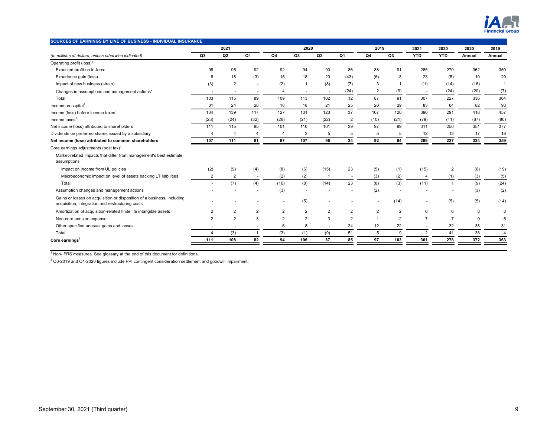

| SOURCES OF EARNINGS BY LINE OF BUSINESS - INDIVIDUAL INSURANCE                                                             |                          |                          |                          |                |                |                |                          |                |                |                |                |        |                |
|----------------------------------------------------------------------------------------------------------------------------|--------------------------|--------------------------|--------------------------|----------------|----------------|----------------|--------------------------|----------------|----------------|----------------|----------------|--------|----------------|
|                                                                                                                            |                          | 2021                     |                          |                | 2020           |                |                          | 2019           |                | 2021           | 2020           | 2020   | 2019           |
| (In millions of dollars, unless otherwise indicated)                                                                       | Q3                       | Q <sub>2</sub>           | Q <sub>1</sub>           | Q4             | Q <sub>3</sub> | Q2             | Q1                       | Q4             | Q3             | <b>YTD</b>     | <b>YTD</b>     | Annual | Annual         |
| Operating profit (loss) <sup>1</sup>                                                                                       |                          |                          |                          |                |                |                |                          |                |                |                |                |        |                |
| Expected profit on in-force                                                                                                | 98                       | 95                       | 92                       | 92             | 94             | 90             | 86                       | 88             | 91             | 285            | 270            | 362    | 350            |
| Experience gain (loss)                                                                                                     | 8                        | 18                       | (3)                      | 15             | 18             | 20             | (43)                     | (6)            | 8              | 23             | (5)            | 10     | 20             |
| Impact of new business (strain)                                                                                            | (3)                      | $\overline{2}$           |                          | (2)            | 1              | (8)            | (7)                      | 3              |                | (1)            | (14)           | (16)   | $\mathbf{1}$   |
| Changes in assumptions and management actions <sup>2</sup>                                                                 | $\overline{\phantom{a}}$ | $\overline{\phantom{a}}$ | $\overline{\phantom{a}}$ | $\overline{4}$ | ٠              |                | (24)                     | $\overline{2}$ | (9)            |                | (24)           | (20)   | (7)            |
| Total                                                                                                                      | 103                      | 115                      | 89                       | 109            | 113            | 102            | 12                       | 87             | 91             | 307            | 227            | 336    | 364            |
| Income on capital <sup>1</sup>                                                                                             | 31                       | 24                       | 28                       | 18             | 18             | 21             | 25                       | 20             | 29             | 83             | 64             | 82     | 93             |
| Income (loss) before income taxes <sup>1</sup>                                                                             | 134                      | 139                      | 117                      | 127            | 131            | 123            | 37                       | 107            | 120            | 390            | 291            | 418    | 457            |
| Income taxes $1$                                                                                                           | (23)                     | (24)                     | (32)                     | (26)           | (21)           | (22)           | 2                        | (10)           | (21)           | (79)           | (41)           | (67)   | (80)           |
| Net income (loss) attributed to shareholders                                                                               | 111                      | 115                      | 85                       | 101            | 110            | 101            | 39                       | 97             | 99             | 311            | 250            | 351    | 377            |
| Dividends on preferred shares issued by a subsidiary                                                                       | $\overline{4}$           | $\overline{4}$           | $\overline{4}$           | $\overline{4}$ | 3              | 5              | 5                        | 5              | 5              | 12             | 13             | 17     | 18             |
| Net income (loss) attributed to common shareholders                                                                        | 107                      | 111                      | 81                       | 97             | 107            | 96             | 34                       | 92             | 94             | 299            | 237            | 334    | 359            |
| Core earnings adjustments (post tax) <sup>1</sup>                                                                          |                          |                          |                          |                |                |                |                          |                |                |                |                |        |                |
| Market-related impacts that differ from management's best estimate<br>assumptions                                          |                          |                          |                          |                |                |                |                          |                |                |                |                |        |                |
| Impact on income from UL policies                                                                                          | (2)                      | (9)                      | (4)                      | (8)            | (6)            | (15)           | 23                       | (5)            | (1)            | (15)           | $\overline{2}$ | (6)    | (19)           |
| Macroeconomic impact on level of assets backing LT liabilities                                                             | $\overline{2}$           | $\overline{2}$           | $\overline{\phantom{a}}$ | (2)            | (2)            |                | $\overline{\phantom{a}}$ | (3)            | (2)            | $\overline{a}$ | (1)            | (3)    | (5)            |
| Total                                                                                                                      | $\overline{\phantom{a}}$ | (7)                      | (4)                      | (10)           | (8)            | (14)           | 23                       | (8)            | (3)            | (11)           |                | (9)    | (24)           |
| Assumption changes and management actions                                                                                  |                          |                          |                          | (3)            |                |                |                          | (2)            |                |                |                | (3)    | (2)            |
| Gains or losses on acquisition or disposition of a business, including<br>acquisition, integration and restructuring costs |                          |                          |                          | $\sim$         | (5)            |                |                          | $\blacksquare$ | (14)           | ×              | (5)            | (5)    | (14)           |
| Amortization of acquisition-related finite life intangible assets                                                          | 2                        | $\overline{2}$           | $\overline{2}$           | $\overline{2}$ | $\overline{2}$ | $\overline{2}$ | $\overline{2}$           | $\overline{2}$ | $\overline{2}$ | 6              | 6              | 8      | 8              |
| Non-core pension expense                                                                                                   | 2                        | $\overline{2}$           | 3                        | $\overline{2}$ | $\overline{2}$ | 3              | 2                        |                | 2              | 7              |                | 9      | 5              |
| Other specified unusual gains and losses                                                                                   |                          |                          |                          | 6              | 8              |                | 24                       | 12             | 22             |                | 32             | 38     | 31             |
| Total                                                                                                                      | 4                        | (3)                      |                          | (3)            | (1)            | (9)            | 51                       | 5              | 9              | $\overline{2}$ | 41             | 38     | $\overline{4}$ |
| Core earnings <sup>1</sup>                                                                                                 | 111                      | 108                      | 82                       | 94             | 106            | 87             | 85                       | 97             | 103            | 301            | 278            | 372    | 363            |

 $^2$  Q3-2019 and Q1-2020 figures include PPI contingent consideration settlement and goodwill impairment.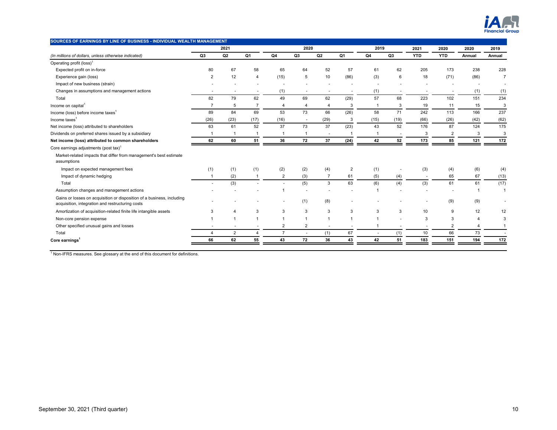

| SOURCES OF EARNINGS BY LINE OF BUSINESS - INDIVIDUAL WEALTH MANAGEMENT                                                     |                |                          |                      |                          |                          |                |                |                |      |                          |                |        |                          |
|----------------------------------------------------------------------------------------------------------------------------|----------------|--------------------------|----------------------|--------------------------|--------------------------|----------------|----------------|----------------|------|--------------------------|----------------|--------|--------------------------|
|                                                                                                                            |                | 2021                     |                      |                          | 2020                     |                |                | 2019           |      | 2021                     | 2020           | 2020   | 2019                     |
| (In millions of dollars, unless otherwise indicated)                                                                       | Q3             | Q <sub>2</sub>           | Q1                   | Q4                       | Q3                       | Q2             | Q1             | Q4             | Q3   | <b>YTD</b>               | <b>YTD</b>     | Annual | Annual                   |
| Operating profit (loss) <sup>1</sup>                                                                                       |                |                          |                      |                          |                          |                |                |                |      |                          |                |        |                          |
| Expected profit on in-force                                                                                                | 80             | 67                       | 58                   | 65                       | 64                       | 52             | 57             | 61             | 62   | 205                      | 173            | 238    | 228                      |
| Experience gain (loss)                                                                                                     | $\overline{2}$ | 12                       | 4                    | (15)                     | 5                        | 10             | (86)           | (3)            | 6    | 18                       | (71)           | (86)   | $\overline{7}$           |
| Impact of new business (strain)                                                                                            |                |                          |                      |                          |                          |                |                |                |      |                          |                |        | $\overline{\phantom{a}}$ |
| Changes in assumptions and management actions                                                                              |                | $\overline{\phantom{a}}$ |                      | (1)                      | $\overline{\phantom{a}}$ |                |                | (1)            |      |                          |                | (1)    | (1)                      |
| Total                                                                                                                      | 82             | 79                       | 62                   | 49                       | 69                       | 62             | (29)           | 57             | 68   | 223                      | 102            | 151    | 234                      |
| Income on capital <sup>1</sup>                                                                                             | $\overline{7}$ | 5                        | $\overline{7}$       | 4                        | $\overline{4}$           | $\overline{4}$ | 3              | $\overline{1}$ | 3    | 19                       | 11             | 15     | 3                        |
| Income (loss) before income taxes <sup>1</sup>                                                                             | 89             | 84                       | 69                   | 53                       | 73                       | 66             | (26)           | 58             | 71   | 242                      | 113            | 166    | 237                      |
| Income taxes $1$                                                                                                           | (26)           | (23)                     | (17)                 | (16)                     | $\sim$                   | (29)           | 3              | (15)           | (19) | (66)                     | (26)           | (42)   | (62)                     |
| Net income (loss) attributed to shareholders                                                                               | 63             | 61                       | 52                   | 37                       | 73                       | 37             | (23)           | 43             | 52   | 176                      | 87             | 124    | 175                      |
| Dividends on preferred shares issued by a subsidiary                                                                       | $\overline{1}$ | $\overline{1}$           |                      | $\overline{1}$           | -1                       | $\sim$         |                | -1             |      | 3                        | $\overline{2}$ | 3      | 3                        |
| Net income (loss) attributed to common shareholders                                                                        | 62             | 60                       | 51                   | 36                       | 72                       | 37             | (24)           | 42             | 52   | 173                      | 85             | 121    | 172                      |
| Core earnings adjustments (post tax) <sup>1</sup>                                                                          |                |                          |                      |                          |                          |                |                |                |      |                          |                |        |                          |
| Market-related impacts that differ from management's best estimate<br>assumptions                                          |                |                          |                      |                          |                          |                |                |                |      |                          |                |        |                          |
| Impact on expected management fees                                                                                         | (1)            | (1)                      | (1)                  | (2)                      | (2)                      | (4)            | $\overline{2}$ | (1)            |      | (3)                      | (4)            | (6)    | (4)                      |
| Impact of dynamic hedging                                                                                                  | $\mathbf{1}$   | (2)                      | -1                   | $\overline{2}$           | (3)                      | $\overline{7}$ | 61             | (5)            | (4)  | $\overline{\phantom{a}}$ | 65             | 67     | (13)                     |
| Total                                                                                                                      |                | (3)                      |                      |                          | (5)                      | 3              | 63             | (6)            | (4)  | (3)                      | 61             | 61     | (17)                     |
| Assumption changes and management actions                                                                                  |                |                          |                      | $\overline{1}$           |                          |                |                |                |      |                          |                |        | 1                        |
| Gains or losses on acquisition or disposition of a business, including<br>acquisition, integration and restructuring costs |                |                          |                      | $\overline{\phantom{a}}$ | (1)                      | (8)            |                |                |      |                          | (9)            | (9)    | $\overline{\phantom{a}}$ |
| Amortization of acquisition-related finite life intangible assets                                                          | 3              | 4                        | 3                    | 3                        | 3                        | 3              | 3              | 3              | 3    | 10                       | 9              | 12     | 12                       |
| Non-core pension expense                                                                                                   |                | $\overline{1}$           |                      | $\overline{1}$           | 1                        |                |                |                |      | 3                        | 3              | 4      | 3                        |
| Other specified unusual gains and losses                                                                                   |                | $\overline{\phantom{a}}$ |                      | $\overline{2}$           | $\overline{2}$           |                |                |                |      |                          | $\overline{2}$ | 4      |                          |
| Total                                                                                                                      | $\overline{4}$ | $\overline{2}$           | $\overline{\Lambda}$ | $\overline{7}$           | $\overline{\phantom{a}}$ | (1)            | 67             |                | (1)  | 10                       | 66             | 73     |                          |
| Core earnings <sup>1</sup>                                                                                                 | 66             | 62                       | 55                   | 43                       | 72                       | 36             | 43             | 42             | 51   | 183                      | 151            | 194    | 172                      |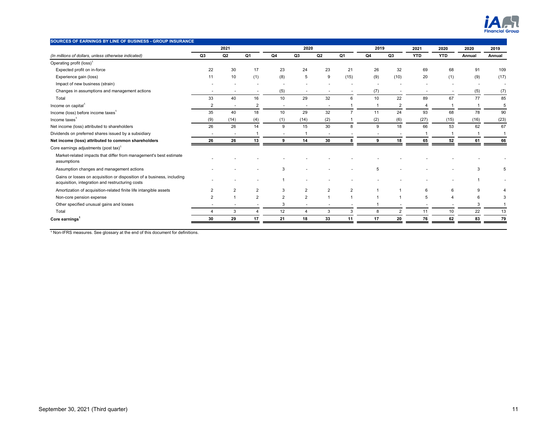

| SOURCES OF EARNINGS BY LINE OF BUSINESS - GROUP INSURANCE                                                                  |                          |                          |                |                |                |                |                |      |                |            |            |                |                          |
|----------------------------------------------------------------------------------------------------------------------------|--------------------------|--------------------------|----------------|----------------|----------------|----------------|----------------|------|----------------|------------|------------|----------------|--------------------------|
|                                                                                                                            |                          | 2021                     |                |                | 2020           |                |                | 2019 |                | 2021       | 2020       | 2020           | 2019                     |
| (In millions of dollars, unless otherwise indicated)                                                                       | Q3                       | Q2                       | Q1             | Q4             | Q3             | Q <sub>2</sub> | Q1             | Q4   | Q3             | <b>YTD</b> | <b>YTD</b> | Annual         | Annual                   |
| Operating profit (loss) <sup>1</sup>                                                                                       |                          |                          |                |                |                |                |                |      |                |            |            |                |                          |
| Expected profit on in-force                                                                                                | 22                       | 30                       | 17             | 23             | 24             | 23             | 21             | 26   | 32             | 69         | 68         | 91             | 109                      |
| Experience gain (loss)                                                                                                     | 11                       | 10                       | (1)            | (8)            | 5              | 9              | (15)           | (9)  | (10)           | 20         | (1)        | (9)            | (17)                     |
| Impact of new business (strain)                                                                                            |                          |                          |                |                |                |                |                |      |                |            |            | $\overline{a}$ | $\overline{\phantom{a}}$ |
| Changes in assumptions and management actions                                                                              |                          | $\overline{\phantom{a}}$ |                | (5)            |                |                |                | (7)  |                |            |            | (5)            | (7)                      |
| Total                                                                                                                      | 33                       | 40                       | 16             | 10             | 29             | 32             | 6              | 10   | 22             | 89         | 67         | 77             | 85                       |
| Income on capital <sup>1</sup>                                                                                             | $\overline{2}$           | $\sim$                   | $\overline{2}$ | $\sim$         | ٠              |                |                |      | $\overline{2}$ |            |            |                | 5                        |
| Income (loss) before income taxes <sup>1</sup>                                                                             | 35                       | 40                       | 18             | 10             | 29             | 32             | $\overline{7}$ | 11   | 24             | 93         | 68         | 78             | 90                       |
| Income taxes <sup>1</sup>                                                                                                  | (9)                      | (14)                     | (4)            | (1)            | (14)           | (2)            |                | (2)  | (6)            | (27)       | (15)       | (16)           | (23)                     |
| Net income (loss) attributed to shareholders                                                                               | 26                       | 26                       | 14             | 9              | 15             | 30             | $\mathsf{R}$   | 9    | 18             | 66         | 53         | 62             | 67                       |
| Dividends on preferred shares issued by a subsidiary                                                                       | $\overline{\phantom{a}}$ | $\overline{\phantom{a}}$ |                | $\sim$         |                |                |                |      |                |            |            |                | $\mathbf{1}$             |
| Net income (loss) attributed to common shareholders                                                                        | 26                       | 26                       | 13             | 9              | 14             | 30             |                | ٩    | 18             | 65         | 52         | 61             | 66                       |
| Core earnings adjustments (post tax) <sup>1</sup>                                                                          |                          |                          |                |                |                |                |                |      |                |            |            |                |                          |
| Market-related impacts that differ from management's best estimate<br>assumptions                                          |                          |                          |                |                |                |                |                |      |                |            |            |                |                          |
| Assumption changes and management actions                                                                                  |                          |                          |                | 3              |                |                |                | 5    |                |            |            | э              |                          |
| Gains or losses on acquisition or disposition of a business, including<br>acquisition, integration and restructuring costs |                          |                          |                |                |                |                |                |      |                |            |            |                |                          |
| Amortization of acquisition-related finite life intangible assets                                                          | $\overline{2}$           | $\overline{2}$           | $\overline{2}$ | 3              | $\overline{2}$ | $\overline{2}$ | $\overline{2}$ |      |                | 6          | 6          | 9              |                          |
| Non-core pension expense                                                                                                   | $\overline{2}$           |                          | $\overline{2}$ | $\overline{2}$ | $\overline{2}$ |                |                |      |                | 5          |            | 6              | 3                        |
| Other specified unusual gains and losses                                                                                   |                          |                          |                | 3              | ٠              |                |                |      |                |            |            | 3              |                          |
| Total                                                                                                                      | 4                        | 3                        |                | 12             | $\overline{4}$ | 3              | 3              | 8    | $\overline{2}$ | 11         | 10         | 22             | 13                       |
| Core earnings <sup>1</sup>                                                                                                 | 30                       | 29                       | 17             | 21             | 18             | 33             | 11             | 17   | 20             | 76         | 62         | 83             | 79                       |
|                                                                                                                            |                          |                          |                |                |                |                |                |      |                |            |            |                |                          |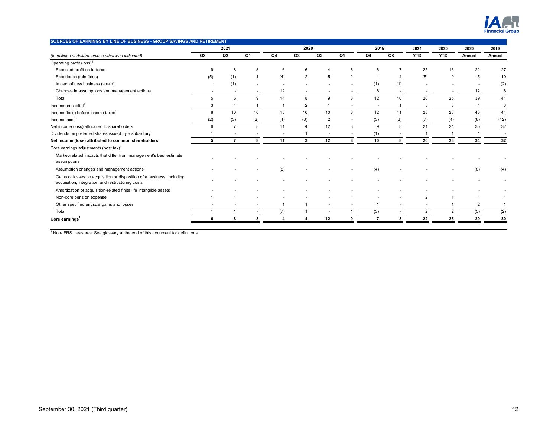

| SOURCES OF EARNINGS BY LINE OF BUSINESS - GROUP SAVINGS AND RETIREMENT                                                     |     |                |     |                     |                |                |                          |      |     |                |            |                |        |
|----------------------------------------------------------------------------------------------------------------------------|-----|----------------|-----|---------------------|----------------|----------------|--------------------------|------|-----|----------------|------------|----------------|--------|
|                                                                                                                            |     | 2021           |     |                     | 2020           |                |                          | 2019 |     | 2021           | 2020       | 2020           | 2019   |
| (In millions of dollars, unless otherwise indicated)                                                                       | Q3  | Q <sub>2</sub> | Q1  | Q4                  | Q <sub>3</sub> | Q2             | Q1                       | Q4   | Q3  | <b>YTD</b>     | <b>YTD</b> | Annual         | Annual |
| Operating profit (loss) <sup>1</sup>                                                                                       |     |                |     |                     |                |                |                          |      |     |                |            |                |        |
| Expected profit on in-force                                                                                                | 9   | 8              | 8   | 6                   | 6              |                | 6                        | 6    |     | 25             | 16         | 22             | 27     |
| Experience gain (loss)                                                                                                     | (5) | (1)            |     | (4)                 | $\overline{2}$ | 5              | 2                        |      |     | (5)            | 9          | 5              | 10     |
| Impact of new business (strain)                                                                                            |     | (1)            |     |                     |                |                |                          | (1)  | (1) |                |            |                | (2)    |
| Changes in assumptions and management actions                                                                              |     | $\overline{a}$ |     | 12                  |                |                |                          | 6    |     |                |            | 12             | 6      |
| Total                                                                                                                      | 5   | 6              | 9   | 14                  | 8              | 9              | 8                        | 12   | 10  | 20             | 25         | 39             | 41     |
| Income on capital <sup>1</sup>                                                                                             | 3   | $\overline{4}$ |     |                     | 2              |                |                          |      |     | 8              | 3          | $\overline{4}$ | 3      |
| Income (loss) before income taxes <sup>1</sup>                                                                             | 8   | 10             | 10  | 15                  | 10             | 10             | 8                        | 12   | 11  | 28             | 28         | 43             | 44     |
| Income taxes <sup>1</sup>                                                                                                  | (2) | (3)            | (2) | (4)                 | (6)            | $\overline{2}$ | $\overline{\phantom{a}}$ | (3)  | (3) | (7)            | (4)        | (8)            | (12)   |
| Net income (loss) attributed to shareholders                                                                               | 6   | $\overline{7}$ | 8   | 11                  | Δ              | 12             | 8                        | 9    | 8   | 21             | 24         | 35             | 32     |
| Dividends on preferred shares issued by a subsidiary                                                                       |     |                |     |                     |                |                |                          | (1)  |     |                |            |                | $\sim$ |
| Net income (loss) attributed to common shareholders                                                                        | 5   |                | 8   | 11                  | $\mathbf{3}$   | 12             | 8                        | 10   | 8   | 20             | 23         | 34             | 32     |
| Core earnings adjustments (post tax) <sup>1</sup>                                                                          |     |                |     |                     |                |                |                          |      |     |                |            |                |        |
| Market-related impacts that differ from management's best estimate<br>assumptions                                          |     |                |     |                     |                |                |                          |      |     |                |            |                |        |
| Assumption changes and management actions                                                                                  |     |                |     | (8)                 |                |                |                          | (4)  |     |                |            | (8)            | (4)    |
| Gains or losses on acquisition or disposition of a business, including<br>acquisition, integration and restructuring costs |     |                |     |                     |                |                |                          |      |     |                |            |                |        |
| Amortization of acquisition-related finite life intangible assets                                                          |     |                |     |                     |                |                |                          |      |     |                |            |                |        |
| Non-core pension expense                                                                                                   |     |                |     |                     |                |                |                          |      |     | $\overline{2}$ |            |                |        |
| Other specified unusual gains and losses                                                                                   |     |                |     |                     |                |                |                          |      |     |                |            | $\overline{2}$ |        |
| Total                                                                                                                      |     |                |     | (7)                 | $\mathbf{1}$   |                |                          | (3)  |     | $\overline{2}$ |            | (5)            | (2)    |
| Core earnings <sup>1</sup>                                                                                                 | 6   | 8              | 8   | $\overline{\bf{4}}$ | 4              | 12             | 9                        | 7    | 8   | 22             | 25         | 29             | 30     |
|                                                                                                                            |     |                |     |                     |                |                |                          |      |     |                |            |                |        |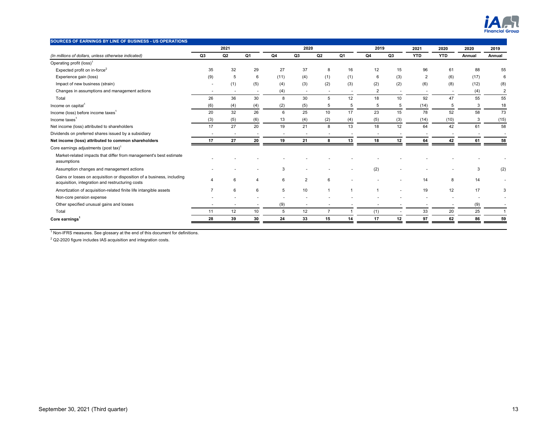

| SOURCES OF EARNINGS BY LINE OF BUSINESS - US OPERATIONS                                                                    |     |                          |                          |      |                          |                |     |                |     |                |            |        |                |
|----------------------------------------------------------------------------------------------------------------------------|-----|--------------------------|--------------------------|------|--------------------------|----------------|-----|----------------|-----|----------------|------------|--------|----------------|
|                                                                                                                            |     | 2021                     |                          |      | 2020                     |                |     | 2019           |     | 2021           | 2020       | 2020   | 2019           |
| (In millions of dollars, unless otherwise indicated)                                                                       | Q3  | Q <sub>2</sub>           | Q1                       | Q4   | Q <sub>3</sub>           | Q2             | Q1  | Q4             | Q3  | <b>YTD</b>     | <b>YTD</b> | Annual | Annual         |
| Operating profit (loss) <sup>1</sup>                                                                                       |     |                          |                          |      |                          |                |     |                |     |                |            |        |                |
| Expected profit on in-force <sup>2</sup>                                                                                   | 35  | 32                       | 29                       | 27   | 37                       | 8              | 16  | 12             | 15  | 96             | 61         | 88     | 55             |
| Experience gain (loss)                                                                                                     | (9) | 5                        | 6                        | (11) | (4)                      | (1)            | (1) | 6              | (3) | $\overline{2}$ | (6)        | (17)   | 6              |
| Impact of new business (strain)                                                                                            |     | (1)                      | (5)                      | (4)  | (3)                      | (2)            | (3) | (2)            | (2) | (6)            | (8)        | (12)   | (8)            |
| Changes in assumptions and management actions                                                                              |     | $\overline{\phantom{a}}$ | $\overline{\phantom{a}}$ | (4)  | $\overline{\phantom{a}}$ |                |     | $\overline{2}$ |     |                |            | (4)    | $\overline{2}$ |
| Total                                                                                                                      | 26  | 36                       | 30                       | 8    | 30                       | 5              | 12  | 18             | 10  | 92             | 47         | 55     | 55             |
| Income on capital <sup>1</sup>                                                                                             | (6) | (4)                      | (4)                      | (2)  | (5)                      | 5              | 5   | 5              | 5   | (14)           | 5          | 3      | 18             |
| Income (loss) before income taxes <sup>1</sup>                                                                             | 20  | 32                       | 26                       | 6    | 25                       | 10             | 17  | 23             | 15  | 78             | 52         | 58     | 73             |
| Income taxes <sup>1</sup>                                                                                                  | (3) | (5)                      | (6)                      | 13   | (4)                      | (2)            | (4) | (5)            | (3) | (14)           | (10)       | 3      | (15)           |
| Net income (loss) attributed to shareholders                                                                               | 17  | 27                       | 20                       | 19   | 21                       | 8              | 13  | 18             | 12  | 64             | 42         | 61     | 58             |
| Dividends on preferred shares issued by a subsidiary                                                                       |     | $\overline{\phantom{a}}$ |                          | ٠    |                          |                |     |                |     |                |            |        |                |
| Net income (loss) attributed to common shareholders                                                                        | 17  | 27                       | 20                       | 19   | 21                       | 8              | 13  | 18             | 12  | 64             | 42         | 61     | 58             |
| Core earnings adjustments (post tax) <sup>1</sup>                                                                          |     |                          |                          |      |                          |                |     |                |     |                |            |        |                |
| Market-related impacts that differ from management's best estimate<br>assumptions                                          |     |                          |                          |      |                          |                |     |                |     |                |            |        |                |
| Assumption changes and management actions                                                                                  |     |                          |                          | 3    |                          |                |     | (2)            |     |                |            | 3      | (2)            |
| Gains or losses on acquisition or disposition of a business, including<br>acquisition, integration and restructuring costs |     | 6                        | 4                        | 6    | $\overline{2}$           | 6              |     |                |     | 14             | 8          | 14     |                |
| Amortization of acquisition-related finite life intangible assets                                                          |     | 6                        | 6                        | 5    | 10                       |                |     |                |     | 19             | 12         | 17     |                |
| Non-core pension expense                                                                                                   |     |                          |                          |      |                          |                |     |                |     |                |            |        |                |
| Other specified unusual gains and losses                                                                                   |     |                          |                          | (9)  |                          |                |     |                |     |                |            | (9)    |                |
| Total                                                                                                                      | 11  | 12                       | 10                       | 5    | 12                       | $\overline{7}$ |     | (1)            |     | 33             | 20         | 25     |                |
| Core earnings <sup>1</sup>                                                                                                 | 28  | 39                       | 30                       | 24   | 33                       | 15             | 14  | 17             | 12  | 97             | 62         | 86     | 59             |

 $2$  Q2-2020 figure includes IAS acquisition and integration costs.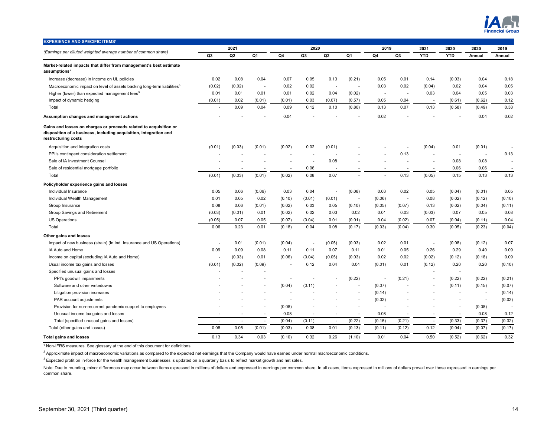

| <b>EXPERIENCE AND SPECIFIC ITEMS<sup>1</sup></b>                                                                                                              |                          | 2021           |                          |        | 2020                     |                          |                          | 2019                     |                          | 2021       | 2020                     | 2020           | 2019   |
|---------------------------------------------------------------------------------------------------------------------------------------------------------------|--------------------------|----------------|--------------------------|--------|--------------------------|--------------------------|--------------------------|--------------------------|--------------------------|------------|--------------------------|----------------|--------|
| (Earnings per diluted weighted average number of common share)                                                                                                | Q3                       | Q <sub>2</sub> | Q1                       | Q4     | Q3                       | Q <sub>2</sub>           | Q1                       | Q4                       | Q3                       | <b>YTD</b> | <b>YTD</b>               | Annual         | Annual |
| Market-related impacts that differ from management's best estimate<br>assumptions <sup>2</sup>                                                                |                          |                |                          |        |                          |                          |                          |                          |                          |            |                          |                |        |
| Increase (decrease) in income on UL policies                                                                                                                  | 0.02                     | 0.08           | 0.04                     | 0.07   | 0.05                     | 0.13                     | (0.21)                   | 0.05                     | 0.01                     | 0.14       | (0.03)                   | 0.04           | 0.18   |
| Macroeconomic impact on level of assets backing long-term liabilities <sup>3</sup>                                                                            | (0.02)                   | (0.02)         | $\overline{\phantom{a}}$ | 0.02   | 0.02                     | $\overline{\phantom{a}}$ |                          | 0.03                     | 0.02                     | (0.04)     | 0.02                     | 0.04           | 0.05   |
| Higher (lower) than expected management fees <sup>3</sup>                                                                                                     | 0.01                     | 0.01           | 0.01                     | 0.01   | 0.02                     | 0.04                     | (0.02)                   | $\sim$                   | ÷.                       | 0.03       | 0.04                     | 0.05           | 0.03   |
| Impact of dynamic hedging                                                                                                                                     | (0.01)                   | 0.02           | (0.01)                   | (0.01) | 0.03                     | (0.07)                   | (0.57)                   | 0.05                     | 0.04                     |            | (0.61)                   | (0.62)         | 0.12   |
| Total                                                                                                                                                         |                          | 0.09           | 0.04                     | 0.09   | 0.12                     | 0.10                     | (0.80)                   | 0.13                     | 0.07                     | 0.13       | (0.58)                   | (0.49)         | 0.38   |
| Assumption changes and management actions                                                                                                                     |                          |                |                          | 0.04   |                          |                          |                          | 0.02                     |                          |            |                          | 0.04           | 0.02   |
| Gains and losses on charges or proceeds related to acquisition or<br>disposition of a business, including acquisition, integration and<br>restructuring costs |                          |                |                          |        |                          |                          |                          |                          |                          |            |                          |                |        |
| Acquisition and integration costs                                                                                                                             | (0.01)                   | (0.03)         | (0.01)                   | (0.02) | 0.02                     | (0.01)                   |                          |                          |                          | (0.04)     | 0.01                     | (0.01)         |        |
| PPI's contingent consideration settlement                                                                                                                     |                          |                |                          | ÷      | $\overline{\phantom{a}}$ |                          |                          |                          | 0.13                     |            | ٠.                       |                | 0.13   |
| Sale of iA Investment Counsel                                                                                                                                 |                          |                |                          |        | $\overline{a}$           | 0.08                     |                          |                          |                          |            | 0.08                     | 0.08           |        |
| Sale of residential mortgage portfolio                                                                                                                        |                          |                |                          |        | 0.06                     |                          |                          |                          |                          |            | 0.06                     | 0.06           |        |
| Total                                                                                                                                                         | (0.01)                   | (0.03)         | (0.01)                   | (0.02) | 0.08                     | 0.07                     |                          |                          | 0.13                     | (0.05)     | 0.15                     | 0.13           | 0.13   |
| Policyholder experience gains and losses                                                                                                                      |                          |                |                          |        |                          |                          |                          |                          |                          |            |                          |                |        |
| Individual Insurance                                                                                                                                          | 0.05                     | 0.06           | (0.06)                   | 0.03   | 0.04                     | ÷.                       | (0.08)                   | 0.03                     | 0.02                     | 0.05       | (0.04)                   | (0.01)         | 0.05   |
| Individual Wealth Management                                                                                                                                  | 0.01                     | 0.05           | 0.02                     | (0.10) | (0.01)                   | (0.01)                   | $\sim$                   | (0.06)                   | $\sim$                   | 0.08       | (0.02)                   | (0.12)         | (0.10) |
| Group Insurance                                                                                                                                               | 0.08                     | 0.06           | (0.01)                   | (0.02) | 0.03                     | 0.05                     | (0.10)                   | (0.05)                   | (0.07)                   | 0.13       | (0.02)                   | (0.04)         | (0.11) |
| Group Savings and Retirement                                                                                                                                  | (0.03)                   | (0.01)         | 0.01                     | (0.02) | 0.02                     | 0.03                     | 0.02                     | 0.01                     | 0.03                     | (0.03)     | 0.07                     | 0.05           | 0.08   |
| <b>US Operations</b>                                                                                                                                          | (0.05)                   | 0.07           | 0.05                     | (0.07) | (0.04)                   | 0.01                     | (0.01)                   | 0.04                     | (0.02)                   | 0.07       | (0.04)                   | (0.11)         | 0.04   |
| Total                                                                                                                                                         | 0.06                     | 0.23           | 0.01                     | (0.18) | 0.04                     | 0.08                     | (0.17)                   | (0.03)                   | (0.04)                   | 0.30       | (0.05)                   | (0.23)         | (0.04) |
| Other gains and losses                                                                                                                                        |                          |                |                          |        |                          |                          |                          |                          |                          |            |                          |                |        |
| Impact of new business (strain) (in Ind. Insurance and US Operations)                                                                                         |                          | 0.01           | (0.01)                   | (0.04) | $\sim$                   | (0.05)                   | (0.03)                   | 0.02                     | 0.01                     | $\sim$     | (0.08)                   | (0.12)         | 0.07   |
| iA Auto and Home                                                                                                                                              | 0.09                     | 0.09           | 0.08                     | 0.11   | 0.11                     | 0.07                     | 0.11                     | 0.01                     | 0.05                     | 0.26       | 0.29                     | 0.40           | 0.09   |
| Income on capital (excluding iA Auto and Home)                                                                                                                |                          | (0.03)         | 0.01                     | (0.06) | (0.04)                   | (0.05)                   | (0.03)                   | 0.02                     | 0.02                     | (0.02)     | (0.12)                   | (0.18)         | 0.09   |
| Usual income tax gains and losses                                                                                                                             | (0.01)                   | (0.02)         | (0.09)                   |        | 0.12                     | 0.04                     | 0.04                     | (0.01)                   | 0.01                     | (0.12)     | 0.20                     | 0.20           | (0.10) |
| Specified unusual gains and losses                                                                                                                            |                          |                |                          |        |                          |                          |                          |                          |                          |            | $\overline{a}$           |                |        |
| PPI's goodwill impairments                                                                                                                                    |                          |                |                          |        |                          |                          | (0.22)                   | $\overline{\phantom{a}}$ | (0.21)                   |            | (0.22)                   | (0.22)         | (0.21) |
| Software and other writedowns                                                                                                                                 |                          |                |                          | (0.04) | (0.11)                   |                          | ÷                        | (0.07)                   |                          |            | (0.11)                   | (0.15)         | (0.07) |
| Litigation provision increases                                                                                                                                |                          |                |                          |        |                          |                          |                          | (0.14)                   |                          |            |                          |                | (0.14) |
| PAR account adjustments                                                                                                                                       |                          |                |                          |        |                          |                          |                          | (0.02)                   |                          |            |                          | $\blacksquare$ | (0.02) |
| Provision for non-recurrent pandemic support to employees                                                                                                     |                          |                |                          | (0.08) |                          |                          | $\overline{\phantom{a}}$ |                          |                          |            |                          | (0.08)         |        |
| Unusual income tax gains and losses                                                                                                                           | $\overline{\phantom{a}}$ | ٠              | $\overline{\phantom{a}}$ | 0.08   | $\sim$                   | $\sim$                   | $\sim$                   | 0.08                     | $\overline{\phantom{a}}$ | $\sim$     | $\overline{\phantom{a}}$ | 0.08           | 0.12   |
| Total (specified unusual gains and losses)                                                                                                                    | $\sim$                   | ÷,             | $\overline{\phantom{a}}$ | (0.04) | (0.11)                   | ÷.                       | (0.22)                   | (0.15)                   | (0.21)                   | $\sim$     | (0.33)                   | (0.37)         | (0.32) |
| Total (other gains and losses)                                                                                                                                | 0.08                     | 0.05           | (0.01)                   | (0.03) | 0.08                     | 0.01                     | (0.13)                   | (0.11)                   | (0.12)                   | 0.12       | (0.04)                   | (0.07)         | (0.17) |
| <b>Total gains and losses</b>                                                                                                                                 | 0.13                     | 0.34           | 0.03                     | (0.10) | 0.32                     | 0.26                     | (1.10)                   | 0.01                     | 0.04                     | 0.50       | (0.52)                   | (0.62)         | 0.32   |

 $^2$  Approximate impact of macroeconomic variations as compared to the expected net earnings that the Company would have earned under normal macroeconomic conditions.

 $^3$  Expected profit on in-force for the wealth management businesses is updated on a quarterly basis to reflect market growth and net sales.

Note: Due to rounding, minor differences may occur between items expressed in millions of dollars and expressed in earnings per common share. In all cases, items expressed in millions of dollars prevail over those expresse common share.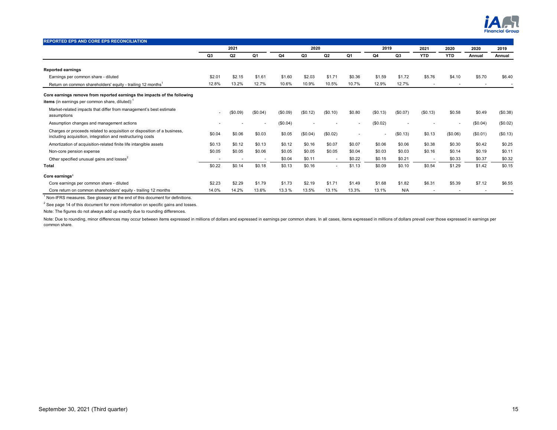

| <b>REPORTED EPS AND CORE EPS RECONCILIATION</b>                                                                                                |        |                |                          |          |          |                |                          |          |          |                          |                          |                |          |
|------------------------------------------------------------------------------------------------------------------------------------------------|--------|----------------|--------------------------|----------|----------|----------------|--------------------------|----------|----------|--------------------------|--------------------------|----------------|----------|
|                                                                                                                                                |        | 2021           |                          |          | 2020     |                |                          | 2019     |          | 2021                     | 2020                     | 2020           | 2019     |
|                                                                                                                                                | Q3     | Q <sub>2</sub> | Q1                       | Q4       | Q3       | Q <sub>2</sub> | Q1                       | Q4       | Q3       | <b>YTD</b>               | <b>YTD</b>               | Annual         | Annual   |
| <b>Reported earnings</b>                                                                                                                       |        |                |                          |          |          |                |                          |          |          |                          |                          |                |          |
| Earnings per common share - diluted                                                                                                            | \$2.01 | \$2.15         | \$1.61                   | \$1.60   | \$2.03   | \$1.71         | \$0.36                   | \$1.59   | \$1.72   | \$5.76                   | \$4.10                   | \$5.70         | \$6.40   |
| Return on common shareholders' equity - trailing 12 months <sup>1</sup>                                                                        | 12.8%  | 13.2%          | 12.7%                    | 10.6%    | 10.9%    | 10.5%          | 10.7%                    | 12.9%    | 12.7%    | $\overline{\phantom{a}}$ | $\overline{\phantom{a}}$ | $\blacksquare$ |          |
| Core earnings remove from reported earnings the impacts of the following<br><b>items</b> (in earnings per common share, diluted): <sup>1</sup> |        |                |                          |          |          |                |                          |          |          |                          |                          |                |          |
| Market-related impacts that differ from management's best estimate<br>assumptions                                                              |        | (\$0.09)       | (\$0.04)                 | (\$0.09) | (\$0.12) | (\$0.10)       | \$0.80                   | (\$0.13) | (\$0.07) | (\$0.13)                 | \$0.58                   | \$0.49         | (\$0.38) |
| Assumption changes and management actions                                                                                                      |        |                |                          | (\$0.04) |          |                | ٠                        | (\$0.02) |          |                          |                          | (\$0.04)       | (\$0.02) |
| Charges or proceeds related to acquisition or disposition of a business,<br>including acquisition, integration and restructuring costs         | \$0.04 | \$0.06         | \$0.03                   | \$0.05   | (\$0.04) | (\$0.02)       | $\overline{\phantom{a}}$ |          | (\$0.13) | \$0.13                   | (\$0.06)                 | (\$0.01)       | (\$0.13) |
| Amortization of acquisition-related finite life intangible assets                                                                              | \$0.13 | \$0.12         | \$0.13                   | \$0.12   | \$0.16   | \$0.07         | \$0.07                   | \$0.06   | \$0.06   | \$0.38                   | \$0.30                   | \$0.42         | \$0.25   |
| Non-core pension expense                                                                                                                       | \$0.05 | \$0.05         | \$0.06                   | \$0.05   | \$0.05   | \$0.05         | \$0.04                   | \$0.03   | \$0.03   | \$0.16                   | \$0.14                   | \$0.19         | \$0.11   |
| Other specified unusual gains and losses <sup>2</sup>                                                                                          |        |                | $\overline{\phantom{a}}$ | \$0.04   | \$0.11   | $\sim$         | \$0.22                   | \$0.15   | \$0.21   | ٠                        | \$0.33                   | \$0.37         | \$0.32   |
| <b>Total</b>                                                                                                                                   | \$0.22 | \$0.14         | \$0.18                   | \$0.13   | \$0.16   | $\sim$         | \$1.13                   | \$0.09   | \$0.10   | \$0.54                   | \$1.29                   | \$1.42         | \$0.15   |
| Core earnings <sup>1</sup>                                                                                                                     |        |                |                          |          |          |                |                          |          |          |                          |                          |                |          |
| Core earnings per common share - diluted                                                                                                       | \$2.23 | \$2.29         | \$1.79                   | \$1.73   | \$2.19   | \$1.71         | \$1.49                   | \$1.68   | \$1.82   | \$6.31                   | \$5.39                   | \$7.12         | \$6.55   |
| Core return on common shareholders' equity - trailing 12 months                                                                                | 14.0%  | 14.2%          | 13.6%                    | 13.3 %   | 13.5%    | 13.1%          | 13.3%                    | 13.1%    | N/A      |                          |                          |                |          |

 $2$  See page 14 of this document for more information on specific gains and losses.

Note: The figures do not always add up exactly due to rounding differences.

Note: Due to rounding, minor differences may occur between items expressed in millions of dollars and expressed in earnings per common share. In all cases, items expressed in millions of dollars prevail over those expresse common share.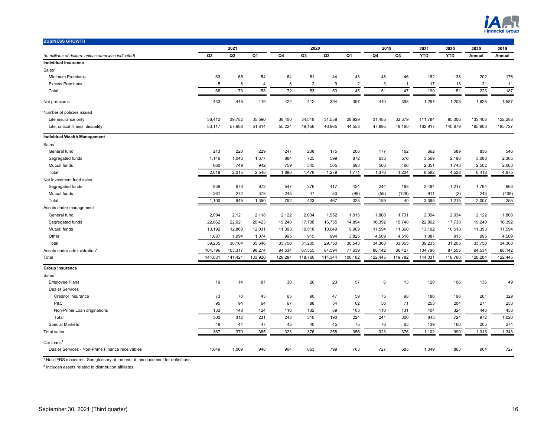

| <b>BUSINESS GROWTH</b>                               |                |         |                |                |                |                  |                |         |                |            |            |         |         |
|------------------------------------------------------|----------------|---------|----------------|----------------|----------------|------------------|----------------|---------|----------------|------------|------------|---------|---------|
|                                                      |                | 2021    |                |                | 2020           |                  |                | 2019    |                | 2021       | 2020       | 2020    | 2019    |
| (In millions of dollars, unless otherwise indicated) | Q <sub>3</sub> | Q2      | Q <sub>1</sub> | Q <sub>4</sub> | Q <sub>3</sub> | Q2               | Q <sub>1</sub> | Q4      | Q <sub>3</sub> | <b>YTD</b> | <b>YTD</b> | Annual  | Annual  |
| <b>Individual Insurance</b>                          |                |         |                |                |                |                  |                |         |                |            |            |         |         |
| Sales <sup>1</sup>                                   |                |         |                |                |                |                  |                |         |                |            |            |         |         |
| <b>Minimum Premiums</b>                              | 63             | 65      | 54             | 64             | 51             | 44               | 43             | 48      | 46             | 182        | 138        | 202     | 176     |
| <b>Excess Premiums</b>                               | 5              | 8       | $\overline{4}$ | 8              | $\overline{2}$ | $\boldsymbol{9}$ | $\overline{2}$ | 3       | $\overline{1}$ | 17         | 13         | 21      | 11      |
| Total                                                | 68             | 73      | 58             | 72             | 53             | 53               | 45             | 51      | 47             | 199        | 151        | 223     | 187     |
| Net premiums                                         | 433            | 445     | 419            | 422            | 412            | 394              | 397            | 410     | 398            | 1,297      | 1,203      | 1,625   | 1,587   |
| Number of policies issued                            |                |         |                |                |                |                  |                |         |                |            |            |         |         |
| Life insurance only                                  | 36,412         | 39,782  | 35,590         | 38,400         | 34,519         | 31,558           | 28,929         | 31,485  | 32,379         | 111,784    | 95,006     | 133,406 | 122,288 |
| Life, critical illness, disability                   | 53,117         | 57,986  | 51,814         | 55,224         | 49,156         | 46,965           | 44,558         | 47,995  | 49,160         | 162,917    | 140,679    | 195,903 | 185,727 |
| <b>Individual Wealth Management</b>                  |                |         |                |                |                |                  |                |         |                |            |            |         |         |
| Sales <sup>1</sup>                                   |                |         |                |                |                |                  |                |         |                |            |            |         |         |
| General fund                                         | 213            | 220     | 229            | 247            | 208            | 175              | 206            | 177     | 162            | 662        | 589        | 836     | 546     |
| Segregated funds                                     | 1,146          | 1,046   | 1,377          | 884            | 725            | 599              | 872            | 633     | 576            | 3,569      | 2,196      | 3,080   | 2,365   |
| Mutual funds                                         | 660            | 749     | 942            | 759            | 545            | 505              | 693            | 566     | 466            | 2,351      | 1,743      | 2,502   | 2,063   |
| Total                                                | 2,019          | 2,015   | 2,548          | 1,890          | 1,478          | 1,279            | 1,771          | 1,376   | 1,204          | 6,582      | 4,528      | 6,418   | 4,975   |
| Net investment fund sales <sup>1</sup>               |                |         |                |                |                |                  |                |         |                |            |            |         |         |
| Segregated funds                                     | 839            | 673     | 972            | 547            | 376            | 417              | 424            | 244     | 168            | 2,484      | 1,217      | 1,764   | 663     |
| Mutual funds                                         | 261            | 272     | 378            | 245            | 47             | 50               | (99)           | (55)    | (128)          | 911        | (2)        | 243     | (408)   |
| Total                                                | 1.100          | 945     | 1,350          | 792            | 423            | 467              | 325            | 189     | 40             | 3,395      | 1,215      | 2,007   | 255     |
| Assets under management                              |                |         |                |                |                |                  |                |         |                |            |            |         |         |
| General fund                                         | 2,094          | 2,121   | 2,118          | 2,122          | 2,034          | 1,952            | 1,915          | 1,808   | 1,731          | 2,094      | 2,034      | 2,122   | 1,808   |
| Segregated funds                                     | 22,862         | 22,021  | 20,423         | 19,240         | 17,738         | 16,755           | 14,894         | 16,392  | 15,748         | 22,862     | 17,738     | 19,240  | 16,392  |
| Mutual funds                                         | 13,192         | 12,868  | 12,031         | 11,393         | 10,518         | 10,049           | 9,909          | 11,594  | 11,360         | 13,192     | 10,518     | 11,393  | 11,594  |
| Other                                                | 1,087          | 1,094   | 1,074          | 995            | 915            | 994              | 3,825          | 4,509   | 4,516          | 1,087      | 915        | 995     | 4,509   |
| Total                                                | 39,235         | 38,104  | 35,646         | 33,750         | 31,205         | 29,750           | 30,543         | 34,303  | 33,355         | 39,235     | 31,205     | 33,750  | 34,303  |
| Assets under administration <sup>2</sup>             | 104,796        | 103,317 | 98,274         | 94,534         | 87,555         | 84,594           | 77,639         | 88,142  | 86,427         | 104,796    | 87,555     | 94,534  | 88,142  |
| Total                                                | 144,031        | 141,421 | 133,920        | 128,284        | 118,760        | 114,344          | 108,182        | 122,445 | 119,782        | 144,031    | 118,760    | 128,284 | 122,445 |
| <b>Group Insurance</b>                               |                |         |                |                |                |                  |                |         |                |            |            |         |         |
| Sales <sup>1</sup>                                   |                |         |                |                |                |                  |                |         |                |            |            |         |         |
| <b>Employee Plans</b>                                | 19             | 14      | 87             | 30             | 26             | 23               | 57             | 6       | 13             | 120        | 106        | 136     | 49      |
| <b>Dealer Services</b>                               |                |         |                |                |                |                  |                |         |                |            |            |         |         |
| Creditor Insurance                                   | 73             | 70      | 43             | 65             | 90             | 47               | 59             | 75      | 98             | 186        | 196        | 261     | 329     |
| P&C                                                  | 95             | 94      | 64             | 67             | 88             | 54               | 62             | 56      | 71             | 253        | 204        | 271     | 253     |
| Non-Prime Loan originations                          | 132            | 148     | 124            | 116            | 132            | 89               | 103            | 110     | 131            | 404        | 324        | 440     | 438     |
| Total                                                | 300            | 312     | 231            | 248            | 310            | 190              | 224            | 241     | 300            | 843        | 724        | 972     | 1,020   |
| <b>Special Markets</b>                               | 48             | 44      | 47             | 45             | 40             | 45               | 75             | 76      | 63             | 139        | 160        | 205     | 274     |
| <b>Total sales</b>                                   | 367            | 370     | 365            | 323            | 376            | 258              | 356            | 323     | 376            | 1,102      | 990        | 1,313   | 1,343   |
| Car loans                                            |                |         |                |                |                |                  |                |         |                |            |            |         |         |
| Dealer Services - Non-Prime Finance receivables      | 1,049          | 1,009   | 948            | 904            | 863            | 799              | 763            | 727     | 685            | 1,049      | 863        | 904     | 727     |

 $2$  Includes assets related to distribution affiliates.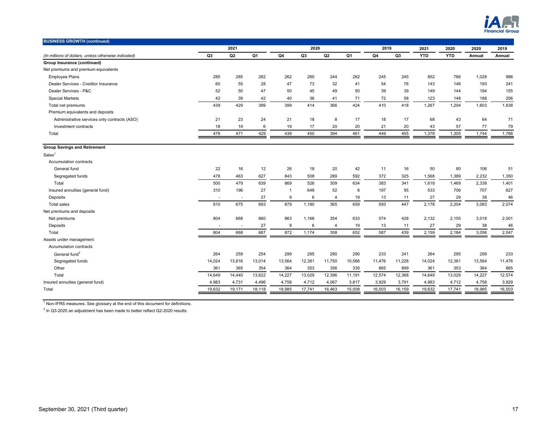

| <b>BUSINESS GROWTH (continued)</b>                   |                |                          |                |                |                |                |                |        |                |            |            |        |        |
|------------------------------------------------------|----------------|--------------------------|----------------|----------------|----------------|----------------|----------------|--------|----------------|------------|------------|--------|--------|
|                                                      |                | 2021                     |                |                | 2020           |                |                | 2019   |                | 2021       | 2020       | 2020   | 2019   |
| (In millions of dollars, unless otherwise indicated) | Q <sub>3</sub> | Q <sub>2</sub>           | Q <sub>1</sub> | Q <sub>4</sub> | Q <sub>3</sub> | Q2             | Q <sub>1</sub> | Q4     | Q <sub>3</sub> | <b>YTD</b> | <b>YTD</b> | Annual | Annual |
| Group Insurance (continued)                          |                |                          |                |                |                |                |                |        |                |            |            |        |        |
| Net premiums and premium equivalents                 |                |                          |                |                |                |                |                |        |                |            |            |        |        |
| <b>Employee Plans</b>                                | 285            | 285                      | 282            | 262            | 260            | 244            | 262            | 245    | 245            | 852        | 766        | 1,028  | 986    |
| Dealer Services - Creditor Insurance                 | 60             | 55                       | 28             | 47             | 73             | 32             | 41             | 54     | 76             | 143        | 146        | 193    | 241    |
| Dealer Services - P&C                                | 52             | 50                       | 47             | 50             | 45             | 49             | 50             | 39     | 39             | 149        | 144        | 194    | 155    |
| <b>Special Markets</b>                               | 42             | 39                       | 42             | 40             | 36             | 41             | 71             | 72     | 58             | 123        | 148        | 188    | 256    |
| Total net premiums                                   | 439            | 429                      | 399            | 399            | 414            | 366            | 424            | 410    | 418            | 1,267      | 1,204      | 1,603  | 1,638  |
| Premium equivalents and deposits                     |                |                          |                |                |                |                |                |        |                |            |            |        |        |
| Administrative services only contracts (ASO)         | 21             | 23                       | 24             | 21             | 18             | 8              | 17             | 18     | 17             | 68         | 43         | 64     | 71     |
| Investment contracts                                 | 18             | 19                       | 6              | 19             | 17             | 20             | 20             | 21     | 20             | 43         | 57         | 77     | 79     |
| Total                                                | 478            | 471                      | 429            | 439            | 450            | 394            | 461            | 449    | 455            | 1,378      | 1,305      | 1,744  | 1,788  |
| <b>Group Savings and Retirement</b>                  |                |                          |                |                |                |                |                |        |                |            |            |        |        |
| Sales <sup>1</sup>                                   |                |                          |                |                |                |                |                |        |                |            |            |        |        |
| Accumulation contracts                               |                |                          |                |                |                |                |                |        |                |            |            |        |        |
| General fund                                         | 22             | 16                       | 12             | 26             | 18             | 20             | 42             | 11     | 16             | 50         | 80         | 106    | 51     |
| Segregated funds                                     | 478            | 463                      | 627            | 843            | 508            | 289            | 592            | 372    | 325            | 1,568      | 1,389      | 2,232  | 1,350  |
| Total                                                | 500            | 479                      | 639            | 869            | 526            | 309            | 634            | 383    | 341            | 1,618      | 1,469      | 2,338  | 1,401  |
| Insured annuities (general fund)                     | 310            | 196                      | 27             | $\mathbf{1}$   | 648            | 52             | 6              | 197    | 95             | 533        | 706        | 707    | 627    |
| Deposits                                             | $\sim$         | $\overline{\phantom{a}}$ | 27             | 9              | 6              | $\overline{4}$ | 19             | 13     | 11             | 27         | 29         | 38     | 46     |
| <b>Total sales</b>                                   | 810            | 675                      | 693            | 879            | 1,180          | 365            | 659            | 593    | 447            | 2,178      | 2,204      | 3,083  | 2,074  |
| Net premiums and deposits                            |                |                          |                |                |                |                |                |        |                |            |            |        |        |
| Net premiums                                         | 804            | 668                      | 660            | 863            | 1,168          | 354            | 633            | 574    | 428            | 2,132      | 2,155      | 3,018  | 2,001  |
| Deposits                                             |                |                          | 27             | 9              | 6              | $\overline{4}$ | 19             | 13     | 11             | 27         | 29         | 38     | 46     |
| Total                                                | 804            | 668                      | 687            | 872            | 1,174          | 358            | 652            | 587    | 439            | 2,159      | 2,184      | 3,056  | 2,047  |
| Assets under management                              |                |                          |                |                |                |                |                |        |                |            |            |        |        |
| Accumulation contracts                               |                |                          |                |                |                |                |                |        |                |            |            |        |        |
| General fund <sup>2</sup>                            | 264            | 259                      | 254            | 299            | 295            | 290            | 290            | 233    | 241            | 264        | 295        | 299    | 233    |
| Segregated funds                                     | 14,024         | 13,816                   | 13,014         | 13,564         | 12,381         | 11,750         | 10,566         | 11,476 | 11,228         | 14,024     | 12,381     | 13,564 | 11,476 |
| Other                                                | 361            | 365                      | 354            | 364            | 353            | 356            | 335            | 865    | 899            | 361        | 353        | 364    | 865    |
| Total                                                | 14,649         | 14.440                   | 13,622         | 14,227         | 13,029         | 12,396         | 11,191         | 12,574 | 12,368         | 14.649     | 13,029     | 14,227 | 12,574 |
| Insured annuities (general fund)                     | 4,983          | 4,731                    | 4,496          | 4,758          | 4,712          | 4,067          | 3,817          | 3,929  | 3,791          | 4,983      | 4,712      | 4,758  | 3,929  |
| Total                                                | 19,632         | 19,171                   | 18,118         | 18,985         | 17,741         | 16,463         | 15,008         | 16,503 | 16,159         | 19,632     | 17,741     | 18,985 | 16,503 |
|                                                      |                |                          |                |                |                |                |                |        |                |            |            |        |        |

 $2$  In Q3-2020 an adjustment has been made to better reflect Q2-2020 results.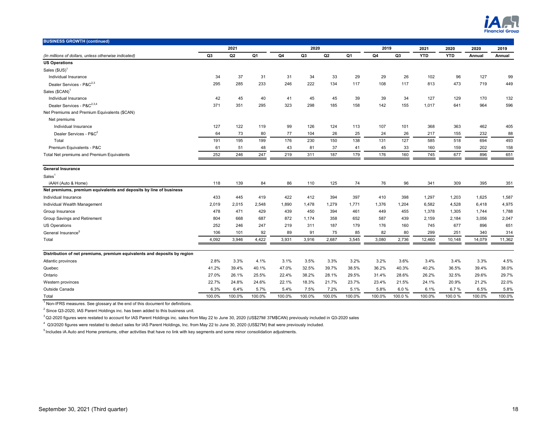

| <b>BUSINESS GROWTH (continued)</b>                                       |        |        |        |                |                |        |        |        |        |            |            |        |        |
|--------------------------------------------------------------------------|--------|--------|--------|----------------|----------------|--------|--------|--------|--------|------------|------------|--------|--------|
|                                                                          |        | 2021   |        |                | 2020           |        |        | 2019   |        | 2021       | 2020       | 2020   | 2019   |
| (In millions of dollars, unless otherwise indicated)                     | Q3     | Q2     | Q1     | Q <sub>4</sub> | Q <sub>3</sub> | Q2     | Q1     | Q4     | Q3     | <b>YTD</b> | <b>YTD</b> | Annual | Annual |
| <b>US Operations</b>                                                     |        |        |        |                |                |        |        |        |        |            |            |        |        |
| Sales (\$US) <sup>1</sup>                                                |        |        |        |                |                |        |        |        |        |            |            |        |        |
| Individual Insurance                                                     | 34     | 37     | 31     | 31             | 34             | 33     | 29     | 29     | 26     | 102        | 96         | 127    | 99     |
| Dealer Services - P&C <sup>2,3</sup>                                     | 295    | 285    | 233    | 246            | 222            | 134    | 117    | 108    | 117    | 813        | 473        | 719    | 449    |
| Sales (\$CAN) <sup>1</sup>                                               |        |        |        |                |                |        |        |        |        |            |            |        |        |
| Individual Insurance                                                     | 42     | 45     | 40     | 41             | 45             | 45     | 39     | 39     | 34     | 127        | 129        | 170    | 132    |
| Dealer Services - P&C <sup>2,3,4</sup>                                   | 371    | 351    | 295    | 323            | 298            | 185    | 158    | 142    | 155    | 1,017      | 641        | 964    | 596    |
| Net Premiums and Premium Equivalents (\$CAN)                             |        |        |        |                |                |        |        |        |        |            |            |        |        |
| Net premiums                                                             |        |        |        |                |                |        |        |        |        |            |            |        |        |
| Individual Insurance                                                     | 127    | 122    | 119    | 99             | 126            | 124    | 113    | 107    | 101    | 368        | 363        | 462    | 405    |
| Dealer Services - P&C <sup>2</sup>                                       | 64     | 73     | 80     | 77             | 104            | 26     | 25     | 24     | 26     | 217        | 155        | 232    | 88     |
| Total                                                                    | 191    | 195    | 199    | 176            | 230            | 150    | 138    | 131    | 127    | 585        | 518        | 694    | 493    |
| Premium Equivalents - P&C                                                | 61     | 51     | 48     | 43             | 81             | 37     | 41     | 45     | 33     | 160        | 159        | 202    | 158    |
| Total Net premiums and Premium Equivalents                               | 252    | 246    | 247    | 219            | 311            | 187    | 179    | 176    | 160    | 745        | 677        | 896    | 651    |
| <b>General Insurance</b>                                                 |        |        |        |                |                |        |        |        |        |            |            |        |        |
| Sales <sup>1</sup>                                                       |        |        |        |                |                |        |        |        |        |            |            |        |        |
| iAAH (Auto & Home)                                                       | 118    | 139    | 84     | 86             | 110            | 125    | 74     | 76     | 96     | 341        | 309        | 395    | 351    |
| Net premiums, premium equivalents and deposits by line of business       |        |        |        |                |                |        |        |        |        |            |            |        |        |
| Individual Insurance                                                     | 433    | 445    | 419    | 422            | 412            | 394    | 397    | 410    | 398    | 1,297      | 1,203      | 1,625  | 1,587  |
| Individual Wealth Management                                             | 2,019  | 2,015  | 2,548  | 1.890          | 1,478          | 1,279  | 1,771  | 1,376  | 1,204  | 6,582      | 4,528      | 6,418  | 4,975  |
| Group Insurance                                                          | 478    | 471    | 429    | 439            | 450            | 394    | 461    | 449    | 455    | 1,378      | 1,305      | 1,744  | 1,788  |
| Group Savings and Retirement                                             | 804    | 668    | 687    | 872            | 1,174          | 358    | 652    | 587    | 439    | 2,159      | 2,184      | 3,056  | 2,047  |
| <b>US Operations</b>                                                     | 252    | 246    | 247    | 219            | 311            | 187    | 179    | 176    | 160    | 745        | 677        | 896    | 651    |
| General Insurance <sup>5</sup>                                           | 106    | 101    | 92     | 89             | 91             | 75     | 85     | 82     | 80     | 299        | 251        | 340    | 314    |
| Total                                                                    | 4,092  | 3.946  | 4,422  | 3,931          | 3,916          | 2.687  | 3,545  | 3.080  | 2,736  | 12,460     | 10,148     | 14,079 | 11,362 |
| Distribution of net premiums, premium equivalents and deposits by region |        |        |        |                |                |        |        |        |        |            |            |        |        |
| Atlantic provinces                                                       | 2.8%   | 3.3%   | 4.1%   | 3.1%           | 3.5%           | 3.3%   | 3.2%   | 3.2%   | 3.6%   | 3.4%       | 3.4%       | 3.3%   | 4.5%   |
| Quebec                                                                   | 41.2%  | 39.4%  | 40.1%  | 47.0%          | 32.5%          | 39.7%  | 38.5%  | 36.2%  | 40.3%  | 40.2%      | 36.5%      | 39.4%  | 38.0%  |
| Ontario                                                                  | 27.0%  | 26.1%  | 25.5%  | 22.4%          | 38.2%          | 28.1%  | 29.5%  | 31.4%  | 28.6%  | 26.2%      | 32.5%      | 29.6%  | 29.7%  |
| Western provinces                                                        | 22.7%  | 24.8%  | 24.6%  | 22.1%          | 18.3%          | 21.7%  | 23.7%  | 23.4%  | 21.5%  | 24.1%      | 20.9%      | 21.2%  | 22.0%  |
| Outside Canada                                                           | 6.3%   | 6.4%   | 5.7%   | 5.4%           | 7.5%           | 7.2%   | 5.1%   | 5.8%   | 6.0%   | 6.1%       | 6.7%       | 6.5%   | 5.8%   |
| Total                                                                    | 100.0% | 100.0% | 100.0% | 100.0%         | 100.0%         | 100.0% | 100.0% | 100.0% | 100.0% | 100.0%     | 100.0%     | 100.0% | 100.0% |

 $2$  Since Q3-2020, IAS Parent Holdings inc. has been added to this business unit.

<sup>3</sup> Q2-2020 figures were restated to account for IAS Parent Holdings inc. sales from May 22 to June 30, 2020 (US\$27M/ 37M\$CAN) previously included in Q3-2020 sales

4 Q3/2020 figures were restated to deduct sales for IAS Parent Holdings, Inc. from May 22 to June 30, 2020 (US\$27M) that were previously included.

<sup>5</sup> Includes iA Auto and Home premiums, other activities that have no link with key segments and some minor consolidation adjustments.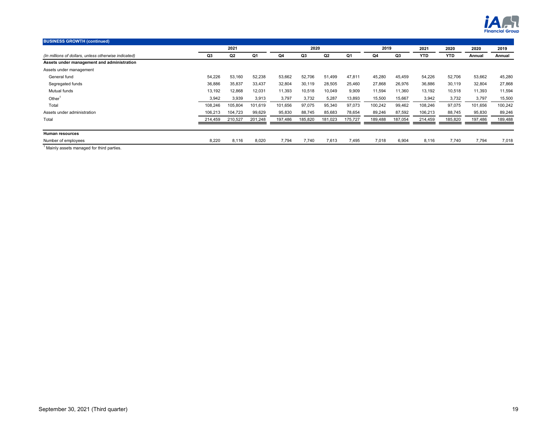

| <b>BUSINESS GROWTH (continued)</b>                   |         |                |         |         |         |                |         |         |         |            |            |         |         |
|------------------------------------------------------|---------|----------------|---------|---------|---------|----------------|---------|---------|---------|------------|------------|---------|---------|
|                                                      |         | 2021           |         |         | 2020    |                |         | 2019    |         | 2021       | 2020       | 2020    | 2019    |
| (In millions of dollars, unless otherwise indicated) | Q3      | Q <sub>2</sub> | Q1      | Q4      | Q3      | Q <sub>2</sub> | Q1      | Q4      | Q3      | <b>YTD</b> | <b>YTD</b> | Annual  | Annual  |
| Assets under management and administration           |         |                |         |         |         |                |         |         |         |            |            |         |         |
| Assets under management                              |         |                |         |         |         |                |         |         |         |            |            |         |         |
| General fund                                         | 54,226  | 53,160         | 52,238  | 53,662  | 52,706  | 51,499         | 47,811  | 45,280  | 45,459  | 54,226     | 52,706     | 53,662  | 45,280  |
| Segregated funds                                     | 36,886  | 35,837         | 33,437  | 32,804  | 30,119  | 28,505         | 25,460  | 27,868  | 26,976  | 36,886     | 30,119     | 32,804  | 27,868  |
| Mutual funds                                         | 13,192  | 12,868         | 12,031  | 11,393  | 10,518  | 10,049         | 9,909   | 11,594  | 11,360  | 13,192     | 10,518     | 11,393  | 11,594  |
| Other <sup>1</sup>                                   | 3,942   | 3,939          | 3,913   | 3,797   | 3,732   | 5,287          | 13,893  | 15,500  | 15,667  | 3,942      | 3,732      | 3,797   | 15,500  |
| Total                                                | 108.246 | 105,804        | 101,619 | 101,656 | 97,075  | 95,340         | 97,073  | 100,242 | 99,462  | 108,246    | 97,075     | 101,656 | 100,242 |
| Assets under administration                          | 106,213 | 104,723        | 99,629  | 95,830  | 88,745  | 85,683         | 78,654  | 89,246  | 87,592  | 106,213    | 88,745     | 95,830  | 89,246  |
| Total                                                | 214,459 | 210,527        | 201,248 | 197,486 | 185,820 | 181,023        | 175,727 | 189,488 | 187,054 | 214,459    | 185,820    | 197,486 | 189,488 |
| Human resources                                      |         |                |         |         |         |                |         |         |         |            |            |         |         |
| Number of employees                                  | 8,220   | 8,116          | 8,020   | 7,794   | 7,740   | 7,613          | 7,495   | 7,018   | 6,904   | 8,116      | 7,740      | 7,794   | 7,018   |
| 1.1.1.1                                              |         |                |         |         |         |                |         |         |         |            |            |         |         |

<sup>1</sup> Mainly assets managed for third parties.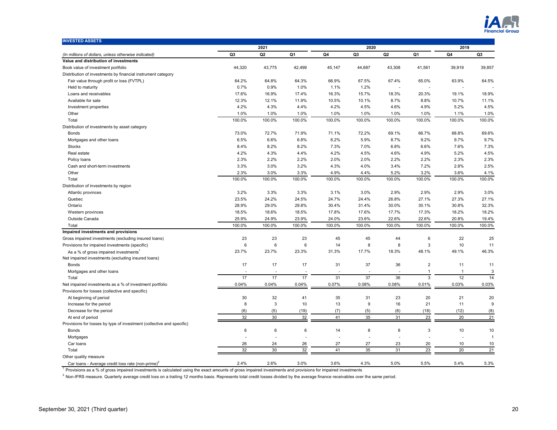

| <b>INVESTED ASSETS</b>                                                |                |                |         |        |                  |        |                |              |                |  |  |
|-----------------------------------------------------------------------|----------------|----------------|---------|--------|------------------|--------|----------------|--------------|----------------|--|--|
|                                                                       |                | 2021           |         |        | 2020             |        |                | 2019         |                |  |  |
| (In millions of dollars, unless otherwise indicated)                  | Q <sub>3</sub> | Q <sub>2</sub> | Q1      | Q4     | Q <sub>3</sub>   | Q2     | Q1             | Q4           | Q3             |  |  |
| Value and distribution of investments                                 |                |                |         |        |                  |        |                |              |                |  |  |
| Book value of investment portfolio                                    | 44,320         | 43,775         | 42,499  | 45,147 | 44,687           | 43,308 | 41,561         | 39,919       | 39,857         |  |  |
| Distribution of investments by financial instrument category          |                |                |         |        |                  |        |                |              |                |  |  |
| Fair value through profit or loss (FVTPL)                             | 64.2%          | 64.8%          | 64.3%   | 66.9%  | 67.5%            | 67.4%  | 65.0%          | 63.9%        | 64.5%          |  |  |
| Held to maturity                                                      | 0.7%           | 0.9%           | 1.0%    | 1.1%   | 1.2%             |        |                | ÷.           |                |  |  |
| Loans and receivables                                                 | 17.6%          | 16.9%          | 17.4%   | 16.3%  | 15.7%            | 18.3%  | 20.3%          | 19.1%        | 18.9%          |  |  |
| Available for sale                                                    | 12.3%          | 12.1%          | 11.9%   | 10.5%  | 10.1%            | 8.7%   | 8.8%           | 10.7%        | 11.1%          |  |  |
| Investment properties                                                 | 4.2%           | 4.3%           | 4.4%    | 4.2%   | 4.5%             | 4.6%   | 4.9%           | 5.2%         | 4.5%           |  |  |
| Other                                                                 | 1.0%           | 1.0%           | 1.0%    | 1.0%   | 1.0%             | 1.0%   | 1.0%           | 1.1%         | 1.0%           |  |  |
| Total                                                                 | 100.0%         | 100.0%         | 100.0%  | 100.0% | 100.0%           | 100.0% | 100.0%         | 100.0%       | 100.0%         |  |  |
| Distribution of investments by asset category                         |                |                |         |        |                  |        |                |              |                |  |  |
| <b>Bonds</b>                                                          | 73.0%          | 72.7%          | 71.9%   | 71.1%  | 72.2%            | 69.1%  | 66.7%          | 68.8%        | 69.6%          |  |  |
| Mortgages and other loans                                             | 6.5%           | 6.6%           | 6.8%    | 6.2%   | 5.9%             | 8.7%   | 9.2%           | 9.7%         | 9.7%           |  |  |
| <b>Stocks</b>                                                         | 8.4%           | 8.2%           | 8.2%    | 7.3%   | 7.0%             | 6.8%   | 6.6%           | 7.6%         | 7.3%           |  |  |
| Real estate                                                           | 4.2%           | 4.3%           | 4.4%    | 4.2%   | 4.5%             | 4.6%   | 4.9%           | 5.2%         | 4.5%           |  |  |
| Policy loans                                                          | 2.3%           | 2.2%           | 2.2%    | 2.0%   | 2.0%             | 2.2%   | 2.2%           | 2.3%         | 2.3%           |  |  |
| Cash and short-term investments                                       | 3.3%           | 3.0%           | 3.2%    | 4.3%   | 4.0%             | 3.4%   | 7.2%           | 2.8%         | 2.5%           |  |  |
| Other                                                                 | 2.3%           | 3.0%           | 3.3%    | 4.9%   | 4.4%             | 5.2%   | 3.2%           | 3.6%         | 4.1%           |  |  |
| Total                                                                 | 100.0%         | 100.0%         | 100.0%  | 100.0% | 100.0%           | 100.0% | 100.0%         | 100.0%       | 100.0%         |  |  |
| Distribution of investments by region                                 |                |                |         |        |                  |        |                |              |                |  |  |
| Atlantic provinces                                                    | 3.2%           | 3.3%           | 3.3%    | 3.1%   | 3.0%             | 2.9%   | 2.9%           | 2.9%         | 3.0%           |  |  |
| Quebec                                                                | 23.5%          | 24.2%          | 24.5%   | 24.7%  | 24.4%            | 26.8%  | 27.1%          | 27.3%        | 27.1%          |  |  |
| Ontario                                                               | 28.9%          | 29.0%          | 29.8%   | 30.4%  | 31.4%            | 30.0%  | 30.1%          | 30.8%        | 32.3%          |  |  |
|                                                                       |                |                |         |        |                  |        |                |              |                |  |  |
| Western provinces                                                     | 18.5%          | 18.6%          | 18.5%   | 17.8%  | 17.6%            | 17.7%  | 17.3%          | 18.2%        | 18.2%          |  |  |
| Outside Canada                                                        | 25.9%          | 24.9%          | 23.9%   | 24.0%  | 23.6%            | 22.6%  | 22.6%          | 20.8%        | 19.4%          |  |  |
| Total                                                                 | 100.0%         | 100.0%         | 100.0%  | 100.0% | 100.0%           | 100.0% | 100.0%         | 100.0%       | 100.0%         |  |  |
| Impaired investments and provisions                                   |                |                |         |        |                  |        |                |              |                |  |  |
| Gross impaired investments (excluding insured loans)                  | 23             | 23             | 23      | 45     | 45               | 44     | 6              | 22           | 25             |  |  |
| Provisions for impaired investments (specific)                        | 6              | $\,6\,$        | $\,6$   | 14     | 8                | 8      | 3              | 10           | 11             |  |  |
| As a % of gross impaired investments <sup>1</sup>                     | 23.7%          | 23.7%          | 23.3%   | 31.3%  | 17.7%            | 18.3%  | 48.1%          | 49.1%        | 46.3%          |  |  |
| Net impaired investments (excluding insured loans)                    |                |                |         |        |                  |        |                |              |                |  |  |
| <b>Bonds</b>                                                          | 17             | 17             | 17      | 31     | 37               | 36     | $\overline{2}$ | 11           | 11             |  |  |
| Mortgages and other loans                                             |                |                |         |        |                  |        | $\mathbf{1}$   | $\mathbf{1}$ | 3              |  |  |
| Total                                                                 | 17             | 17             | 17      | 31     | 37               | 36     | 3              | 12           | 14             |  |  |
| Net impaired investments as a % of investment portfolio               | 0.04%          | 0.04%          | 0.04%   | 0.07%  | 0.08%            | 0.08%  | 0.01%          | 0.03%        | 0.03%          |  |  |
| Provisions for losses (collective and specific)                       |                |                |         |        |                  |        |                |              |                |  |  |
| At beginning of period                                                | 30             | 32             | 41      | 35     | 31               | 23     | 20             | 21           | 20             |  |  |
| Increase for the period                                               | 8              | 3              | 10      | 13     | $\boldsymbol{9}$ | 16     | 21             | 11           | 9              |  |  |
| Decrease for the period                                               | (6)            | (5)            | (19)    | (7)    | (5)              | (8)    | (18)           | (12)         | (8)            |  |  |
| At end of period                                                      | 32             | 30             | 32      | 41     | 35               | 31     | 23             | 20           | 21             |  |  |
| Provisions for losses by type of investment (collective and specific) |                |                |         |        |                  |        |                |              |                |  |  |
| <b>Bonds</b>                                                          | 6              | 6              | $\,6\,$ | 14     | 8                | 8      | 3              | 10           | 10             |  |  |
| Mortgages                                                             |                |                |         |        |                  |        |                |              | $\overline{1}$ |  |  |
| Car loans                                                             | 26             | 24             | 26      | 27     | 27               | 23     | 20             | 10           | 10             |  |  |
| Total                                                                 | 32             | 30             | 32      | 41     | 35               | 31     | 23             | 20           | 21             |  |  |
| Other quality measure                                                 |                |                |         |        |                  |        |                |              |                |  |  |
| Car loans - Average credit loss rate (non-prime) <sup>2</sup>         | 2.4%           | 2.6%           | 3.0%    | 3.6%   | 4.3%             | 5.0%   | 5.5%           | 5.4%         | 5.3%           |  |  |

1 Provisions as a % of gross impaired investments is calculated using the exact amounts of gross impaired investments and provisions for impaired investments

<sup>2</sup> Non-IFRS measure. Quarterly average credit loss on a trailing 12 months basis. Represents total credit losses divided by the average finance receivables over the same period.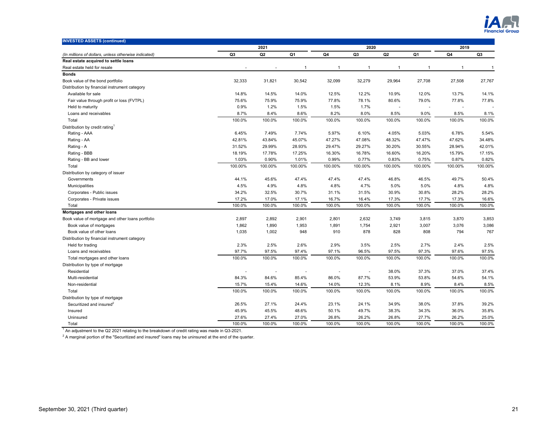

| <b>INVESTED ASSETS (continued)</b>                   |                |                |                |                |                |                |                |              |         |  |
|------------------------------------------------------|----------------|----------------|----------------|----------------|----------------|----------------|----------------|--------------|---------|--|
|                                                      |                | 2021           |                |                | 2020           |                |                | 2019         |         |  |
| (In millions of dollars, unless otherwise indicated) | Q <sub>3</sub> | Q <sub>2</sub> | Q1             | Q4             | Q <sub>3</sub> | Q2             | Q1             | Q4           | Q3      |  |
| Real estate acquired to settle loans                 |                |                |                |                |                |                |                |              |         |  |
| Real estate held for resale                          |                |                | $\overline{1}$ | $\overline{1}$ | $\mathbf{1}$   | $\overline{1}$ | $\overline{1}$ | $\mathbf{1}$ | -1      |  |
| <b>Bonds</b>                                         |                |                |                |                |                |                |                |              |         |  |
| Book value of the bond portfolio                     | 32,333         | 31,821         | 30,542         | 32,099         | 32,279         | 29,964         | 27,708         | 27,508       | 27,767  |  |
| Distribution by financial instrument category        |                |                |                |                |                |                |                |              |         |  |
| Available for sale                                   | 14.8%          | 14.5%          | 14.0%          | 12.5%          | 12.2%          | 10.9%          | 12.0%          | 13.7%        | 14.1%   |  |
| Fair value through profit or loss (FVTPL)            | 75.6%          | 75.9%          | 75.9%          | 77.8%          | 78.1%          | 80.6%          | 79.0%          | 77.8%        | 77.8%   |  |
| Held to maturity                                     | 0.9%           | 1.2%           | 1.5%           | 1.5%           | 1.7%           |                |                | $\sim$       |         |  |
| Loans and receivables                                | 8.7%           | 8.4%           | 8.6%           | 8.2%           | 8.0%           | 8.5%           | 9.0%           | 8.5%         | 8.1%    |  |
| Total                                                | 100.0%         | 100.0%         | 100.0%         | 100.0%         | 100.0%         | 100.0%         | 100.0%         | 100.0%       | 100.0%  |  |
| Distribution by credit rating <sup>1</sup>           |                |                |                |                |                |                |                |              |         |  |
| Rating - AAA                                         | 6.45%          | 7.49%          | 7.74%          | 5.97%          | 6.10%          | 4.05%          | 5.03%          | 6.78%        | 5.54%   |  |
| Rating - AA                                          | 42.81%         | 43.84%         | 45.07%         | 47.27%         | 47.08%         | 48.32%         | 47.47%         | 47.62%       | 34.48%  |  |
| Rating - A                                           | 31.52%         | 29.99%         | 28.93%         | 29.47%         | 29.27%         | 30.20%         | 30.55%         | 28.94%       | 42.01%  |  |
| Rating - BBB                                         | 18.19%         | 17.78%         | 17.25%         | 16.30%         | 16.78%         | 16.60%         | 16.20%         | 15.79%       | 17.15%  |  |
| Rating - BB and lower                                | 1.03%          | 0.90%          | 1.01%          | 0.99%          | 0.77%          | 0.83%          | 0.75%          | 0.87%        | 0.82%   |  |
| Total                                                | 100.00%        | 100.00%        | 100.00%        | 100.00%        | 100.00%        | 100.00%        | 100.00%        | 100.00%      | 100.00% |  |
| Distribution by category of issuer                   |                |                |                |                |                |                |                |              |         |  |
| Governments                                          | 44.1%          | 45.6%          | 47.4%          | 47.4%          | 47.4%          | 46.8%          | 46.5%          | 49.7%        | 50.4%   |  |
| Municipalities                                       | 4.5%           | 4.9%           | 4.8%           | 4.8%           | 4.7%           | 5.0%           | 5.0%           | 4.8%         | 4.8%    |  |
| Corporates - Public issues                           | 34.2%          | 32.5%          | 30.7%          | 31.1%          | 31.5%          | 30.9%          | 30.8%          | 28.2%        | 28.2%   |  |
| Corporates - Private issues                          | 17.2%          | 17.0%          | 17.1%          | 16.7%          | 16.4%          | 17.3%          | 17.7%          | 17.3%        | 16.6%   |  |
| Total                                                | 100.0%         | 100.0%         | 100.0%         | 100.0%         | 100.0%         | 100.0%         | 100.0%         | 100.0%       | 100.0%  |  |
| Mortgages and other loans                            |                |                |                |                |                |                |                |              |         |  |
| Book value of mortgage and other loans portfolio     | 2,897          | 2,892          | 2,901          | 2,801          | 2,632          | 3,749          | 3,815          | 3,870        | 3,853   |  |
| Book value of mortgages                              | 1,862          | 1,890          | 1,953          | 1,891          | 1,754          | 2,921          | 3,007          | 3,076        | 3,086   |  |
| Book value of other loans                            | 1,035          | 1,002          | 948            | 910            | 878            | 828            | 808            | 794          | 767     |  |
| Distribution by financial instrument category        |                |                |                |                |                |                |                |              |         |  |
| Held for trading                                     | 2.3%           | 2.5%           | 2.6%           | 2.9%           | 3.5%           | 2.5%           | 2.7%           | 2.4%         | 2.5%    |  |
| Loans and receivables                                | 97.7%          | 97.5%          | 97.4%          | 97.1%          | 96.5%          | 97.5%          | 97.3%          | 97.6%        | 97.5%   |  |
| Total mortgages and other loans                      | 100.0%         | 100.0%         | 100.0%         | 100.0%         | 100.0%         | 100.0%         | 100.0%         | 100.0%       | 100.0%  |  |
| Distribution by type of mortgage                     |                |                |                |                |                |                |                |              |         |  |
| Residential                                          |                |                |                |                |                | 38.0%          | 37.3%          | 37.0%        | 37.4%   |  |
| Multi-residential                                    | 84.3%          | 84.6%          | 85.4%          | 86.0%          | 87.7%          | 53.9%          | 53.8%          | 54.6%        | 54.1%   |  |
| Non-residential                                      | 15.7%          | 15.4%          | 14.6%          | 14.0%          | 12.3%          | 8.1%           | 8.9%           | 8.4%         | 8.5%    |  |
| Total                                                | 100.0%         | 100.0%         | 100.0%         | 100.0%         | 100.0%         | 100.0%         | 100.0%         | 100.0%       | 100.0%  |  |
| Distribution by type of mortgage                     |                |                |                |                |                |                |                |              |         |  |
| Securitized and insured <sup>2</sup>                 | 26.5%          | 27.1%          | 24.4%          | 23.1%          | 24.1%          | 34.9%          | 38.0%          | 37.8%        | 39.2%   |  |
| Insured                                              | 45.9%          | 45.5%          | 48.6%          | 50.1%          | 49.7%          | 38.3%          | 34.3%          | 36.0%        | 35.8%   |  |
| Uninsured                                            | 27.6%          | 27.4%          | 27.0%          | 26.8%          | 26.2%          | 26.8%          | 27.7%          | 26.2%        | 25.0%   |  |
| Total                                                | 100.0%         | 100.0%         | 100.0%         | 100.0%         | 100.0%         | 100.0%         | 100.0%         | 100.0%       | 100.0%  |  |

<sup>1</sup> An adjustment to the Q2 2021 relating to the breakdown of credit rating was made in Q3-2021.

 $^2$  A marginal portion of the "Securitized and insured" loans may be uninsured at the end of the quarter.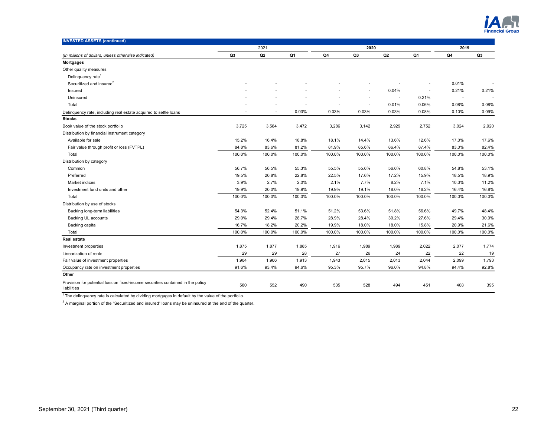

| <b>INVESTED ASSETS (continued)</b>                                                             |                |                |        |        |                |        |        |                          |        |
|------------------------------------------------------------------------------------------------|----------------|----------------|--------|--------|----------------|--------|--------|--------------------------|--------|
|                                                                                                |                | 2021           |        |        | 2020           |        |        | 2019                     |        |
| (In millions of dollars, unless otherwise indicated)                                           | Q <sub>3</sub> | Q <sub>2</sub> | Q1     | Q4     | Q <sub>3</sub> | Q2     | Q1     | Q4                       | Q3     |
| <b>Mortgages</b>                                                                               |                |                |        |        |                |        |        |                          |        |
| Other quality measures                                                                         |                |                |        |        |                |        |        |                          |        |
| Delinquency rate <sup>1</sup>                                                                  |                |                |        |        |                |        |        |                          |        |
| Securitized and insured <sup>2</sup>                                                           |                |                |        |        |                |        |        | 0.01%                    |        |
| Insured                                                                                        |                |                |        |        |                | 0.04%  |        | 0.21%                    | 0.21%  |
| Uninsured                                                                                      |                |                |        |        |                |        | 0.21%  | $\overline{\phantom{a}}$ |        |
| Total                                                                                          |                |                |        |        |                | 0.01%  | 0.06%  | 0.08%                    | 0.08%  |
| Delinquency rate, including real estate acquired to settle loans                               |                |                | 0.03%  | 0.03%  | 0.03%          | 0.03%  | 0.08%  | 0.10%                    | 0.09%  |
| <b>Stocks</b>                                                                                  |                |                |        |        |                |        |        |                          |        |
| Book value of the stock portfolio                                                              | 3,725          | 3,584          | 3,472  | 3,286  | 3,142          | 2,929  | 2,752  | 3,024                    | 2,920  |
| Distribution by financial instrument category                                                  |                |                |        |        |                |        |        |                          |        |
| Available for sale                                                                             | 15.2%          | 16.4%          | 18.8%  | 18.1%  | 14.4%          | 13.6%  | 12.6%  | 17.0%                    | 17.6%  |
| Fair value through profit or loss (FVTPL)                                                      | 84.8%          | 83.6%          | 81.2%  | 81.9%  | 85.6%          | 86.4%  | 87.4%  | 83.0%                    | 82.4%  |
| Total                                                                                          | 100.0%         | 100.0%         | 100.0% | 100.0% | 100.0%         | 100.0% | 100.0% | 100.0%                   | 100.0% |
| Distribution by category                                                                       |                |                |        |        |                |        |        |                          |        |
| Common                                                                                         | 56.7%          | 56.5%          | 55.3%  | 55.5%  | 55.6%          | 56.6%  | 60.8%  | 54.8%                    | 53.1%  |
| Preferred                                                                                      | 19.5%          | 20.8%          | 22.8%  | 22.5%  | 17.6%          | 17.2%  | 15.9%  | 18.5%                    | 18.9%  |
| Market indices                                                                                 | 3.9%           | 2.7%           | 2.0%   | 2.1%   | 7.7%           | 8.2%   | 7.1%   | 10.3%                    | 11.2%  |
| Investment fund units and other                                                                | 19.9%          | 20.0%          | 19.9%  | 19.9%  | 19.1%          | 18.0%  | 16.2%  | 16.4%                    | 16.8%  |
| Total                                                                                          | 100.0%         | 100.0%         | 100.0% | 100.0% | 100.0%         | 100.0% | 100.0% | 100.0%                   | 100.0% |
| Distribution by use of stocks                                                                  |                |                |        |        |                |        |        |                          |        |
| Backing long-term liabilities                                                                  | 54.3%          | 52.4%          | 51.1%  | 51.2%  | 53.6%          | 51.8%  | 56.6%  | 49.7%                    | 48.4%  |
| Backing UL accounts                                                                            | 29.0%          | 29.4%          | 28.7%  | 28.9%  | 28.4%          | 30.2%  | 27.6%  | 29.4%                    | 30.0%  |
| <b>Backing capital</b>                                                                         | 16.7%          | 18.2%          | 20.2%  | 19.9%  | 18.0%          | 18.0%  | 15.8%  | 20.9%                    | 21.6%  |
| Total                                                                                          | 100.0%         | 100.0%         | 100.0% | 100.0% | 100.0%         | 100.0% | 100.0% | 100.0%                   | 100.0% |
| <b>Real estate</b>                                                                             |                |                |        |        |                |        |        |                          |        |
| Investment properties                                                                          | 1,875          | 1,877          | 1,885  | 1,916  | 1,989          | 1,989  | 2,022  | 2,077                    | 1,774  |
| Linearization of rents                                                                         | 29             | 29             | 28     | 27     | 26             | 24     | 22     | 22                       | 19     |
| Fair value of investment properties                                                            | 1,904          | 1,906          | 1,913  | 1,943  | 2,015          | 2,013  | 2,044  | 2,099                    | 1,793  |
| Occupancy rate on investment properties                                                        | 91.6%          | 93.4%          | 94.6%  | 95.3%  | 95.7%          | 96.0%  | 94.8%  | 94.4%                    | 92.8%  |
| Other                                                                                          |                |                |        |        |                |        |        |                          |        |
| Provision for potential loss on fixed-income securities contained in the policy<br>liabilities | 580            | 552            | 490    | 535    | 528            | 494    | 451    | 408                      | 395    |

 $1$ The delinquency rate is calculated by dividing mortgages in default by the value of the portfolio.

 $^2$  A marginal portion of the "Securitized and insured" loans may be uninsured at the end of the quarter.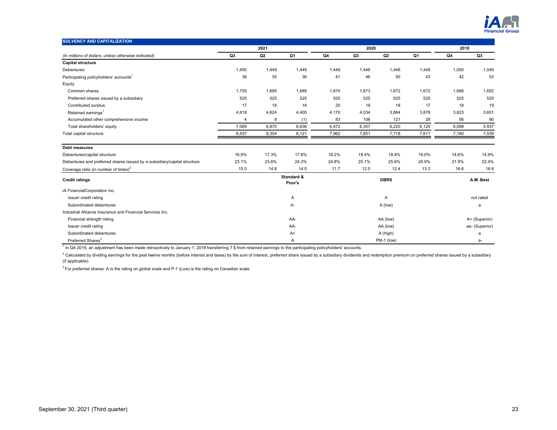

| <b>SOLVENCY AND CAPITALIZATION</b>                                       |                       |                |                      |       |       |             |                |       |               |  |
|--------------------------------------------------------------------------|-----------------------|----------------|----------------------|-------|-------|-------------|----------------|-------|---------------|--|
|                                                                          | 2021<br>2020          |                |                      |       |       |             |                | 2019  |               |  |
| (In millions of dollars, unless otherwise indicated)                     | Q <sub>3</sub>        | Q <sub>2</sub> | Q1                   | Q4    | Q3    | Q2          | Q1             | Q4    | Q3            |  |
| <b>Capital structure</b>                                                 |                       |                |                      |       |       |             |                |       |               |  |
| <b>Debentures</b>                                                        | 1,450                 | 1,449          | 1,449                | 1,449 | 1,448 | 1,448       | 1,448          | 1,050 | 1,049         |  |
| Participating policyholders' accounts <sup>1</sup>                       | 38                    | 35             | 36                   | 41    | 46    | 50          | 43             | 42    | 53            |  |
| Equity                                                                   |                       |                |                      |       |       |             |                |       |               |  |
| Common shares                                                            | 1,705                 | 1,695          | 1,689                | 1,674 | 1,673 | 1,672       | 1,672          | 1,666 | 1,652         |  |
| Preferred shares issued by a subsidiary                                  | 525                   | 525            | 525                  | 525   | 525   | 525         | 525            | 525   | 525           |  |
| Contributed surplus                                                      | 17                    | 18             | 18                   | 20    | 19    | 18          | 17             | 18    | 19            |  |
| Retained earnings <sup>1</sup>                                           | 4,818                 | 4,624          | 4,405                | 4,170 | 4,034 | 3,884       | 3,878          | 3,823 | 3,651         |  |
| Accumulated other comprehensive income                                   | $\boldsymbol{\Delta}$ | 8              | (1)                  | 83    | 106   | 121         | 28             | 56    | 90            |  |
| Total shareholders' equity                                               | 7,069                 | 6,870          | 6,636                | 6,472 | 6,357 | 6,220       | 6,120          | 6,088 | 5,937         |  |
| Total capital structure                                                  | 8,557                 | 8,354          | 8,121                | 7,962 | 7,851 | 7,718       | 7,611          | 7,180 | 7,039         |  |
| <b>Debt measures</b>                                                     |                       |                |                      |       |       |             |                |       |               |  |
| Debentures/capital structure                                             | 16.9%                 | 17.3%          | 17.8%                | 18.2% | 18.4% | 18.8%       | 19.0%          | 14.6% | 14.9%         |  |
| Debentures and preferred shares issued by a subsidiary/capital structure | 23.1%                 | 23.6%          | 24.3%                | 24.8% | 25.1% | 25.6%       | 25.9%          | 21.9% | 22.4%         |  |
| Coverage ratio (in number of times) <sup>2</sup>                         | 15.0                  | 14.8           | 14.0                 | 11.7  | 12.0  | 12.4        | 13.3           | 16.6  | 16.8          |  |
| <b>Credit ratings</b>                                                    |                       |                | Standard &<br>Poor's |       |       | <b>DBRS</b> |                |       | A.M. Best     |  |
| iA FinancialCorporation Inc.                                             |                       |                |                      |       |       |             |                |       |               |  |
| Issuer credit rating                                                     |                       |                | Α                    |       |       | Α           |                |       | not rated     |  |
| Subordinated debentures                                                  |                       |                | А-                   |       |       | A (low)     |                |       | a             |  |
| Industrial Alliance Insurance and Financial Services Inc.                |                       |                |                      |       |       |             |                |       |               |  |
| Financial strength rating                                                |                       |                | AA-                  |       |       | AA (low)    |                |       | A+ (Superior) |  |
| Issuer credit rating                                                     | AA-                   |                |                      |       |       |             | aa- (Superior) |       |               |  |
| Subordinated debentures                                                  |                       |                | $A+$                 |       |       | A (high)    |                |       | a             |  |
| Preferred Shares <sup>3</sup>                                            |                       |                | Α                    |       |       | Pfd-1 (low) |                | a-    |               |  |

<sup>1</sup> In Q4 2019, an adjustment has been made retroactively to January 1, 2018 transferring 7 \$ from retained earnings to the participating policyholders' accounts.

<sup>2</sup> Calculated by dividing earnings for the past twelve months (before interest and taxes) by the sum of interest, preferred share issued by a subsidiary dividends and redemption premium on preferred shares issued by a sub (if applicable).

 $3$  For preferred shares: A is the rating on global scale and P-1 (Low) is the rating on Canadian scale.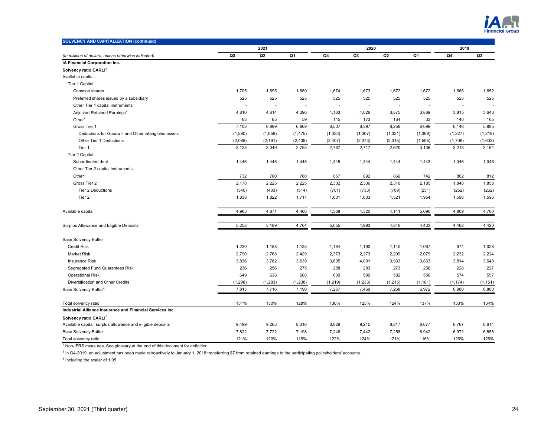

| <b>SOLVENCY AND CAPITALIZATION (continued)</b>             |                   |                |          |                   |                   |                |          |                          |          |
|------------------------------------------------------------|-------------------|----------------|----------|-------------------|-------------------|----------------|----------|--------------------------|----------|
|                                                            |                   | 2021           |          |                   | 2020              |                |          | 2019                     |          |
| (In millions of dollars, unless otherwise indicated)       | Q <sub>3</sub>    | Q <sub>2</sub> | Q1       | Q4                | Q <sub>3</sub>    | Q <sub>2</sub> | Q1       | Q4                       | Q3       |
| iA Financial Corporation Inc.                              |                   |                |          |                   |                   |                |          |                          |          |
| Solvency ratio CARLI <sup>1</sup>                          |                   |                |          |                   |                   |                |          |                          |          |
| Available capital                                          |                   |                |          |                   |                   |                |          |                          |          |
| Tier 1 Capital                                             |                   |                |          |                   |                   |                |          |                          |          |
| Common shares                                              | 1,705             | 1,695          | 1,689    | 1,674             | 1,673             | 1,672          | 1,672    | 1,666                    | 1,652    |
| Preferred shares issued by a subsidiary                    | 525               | 525            | 525      | 525               | 525               | 525            | 525      | 525                      | 525      |
| Other Tier 1 capital instruments                           |                   | ٠              |          | ٠                 |                   | $\blacksquare$ | ÷,       | $\overline{\phantom{a}}$ |          |
| Adjusted Retained Earnings <sup>2</sup>                    | 4,810             | 4,614          | 4,396    | 4,163             | 4,026             | 3,875          | 3,869    | 3,815                    | 3,643    |
| Other $2$                                                  | 63                | 65             | 59       | 145               | 173               | 184            | 33       | 140                      | 165      |
| Gross Tier 1                                               | 7,103             | 6,899          | 6,669    | 6,507             | 6,397             | 6,256          | 6,099    | 6,146                    | 5,985    |
| Deductions for Goodwill and Other intangibles assets       | (1,890)           | (1,659)        | (1, 475) | (1, 333)          | (1,307)           | (1, 321)       | (1, 368) | (1, 227)                 | (1, 218) |
| Other Tier 1 Deductions                                    | (2,088)           | (2, 191)       | (2, 439) | (2, 407)          | (2, 373)          | (2, 315)       | (1, 595) | (1,706)                  | (1,603)  |
| Tier 1                                                     | 3,125             | 3,049          | 2,755    | 2,767             | 2,717             | 2,620          | 3,136    | 3,213                    | 3,164    |
| Tier 2 Capital                                             |                   |                |          |                   |                   |                |          |                          |          |
| Subordinated debt                                          | 1,446             | 1,445          | 1,445    | 1,445             | 1,444             | 1,444          | 1,443    | 1,046                    | 1,046    |
| Other Tier 2 capital instruments                           |                   |                |          |                   |                   |                |          | $\overline{\phantom{a}}$ |          |
| Other                                                      | 732               | 780            | 780      | 857               | 892               | 866            | 742      | 802                      | 812      |
| Gross Tier 2                                               | 2,178             | 2,225          | 2,225    | 2,302             | 2,336             | 2,310          | 2,185    | 1,848                    | 1,858    |
| Tier 2 Deductions                                          | (340)             | (403)          | (514)    | (701)             | (733)             | (789)          | (231)    | (252)                    | (262)    |
| Tier 2                                                     | 1,838             | 1,822          | 1,711    | 1,601             | 1,603             | 1,521          | 1,954    | 1,596                    | 1,596    |
| Available capital                                          | 4,963             | 4,871          | 4,466    | 4,368             | 4,320             | 4,141          | 5,090    | 4,809                    | 4,760    |
| Surplus Allowance and Eligible Deposits                    | 5,258             | 5,189          | 4,704    | 5,055             | 4,993             | 4,846          | 4,433    | 4,462                    | 4,420    |
| <b>Base Solvency Buffer</b>                                |                   |                |          |                   |                   |                |          |                          |          |
| <b>Credit Risk</b>                                         | 1,230             | 1,188          | 1,135    | 1,184             | 1,190             | 1,140          | 1,067    | 974                      | 1,028    |
| Market Risk                                                | 2,790             | 2,768          | 2,429    | 2,373             | 2,273             | 2,209          | 2,079    | 2,232                    | 2,224    |
| <b>Insurance Risk</b>                                      | 3,836             | 3,782          | 3,639    | 3,695             | 4,001             | 3,933          | 3,863    | 3,814                    | 3,648    |
| Segregated Fund Guarantees Risk                            | 236               | 256            | 275      | 288               | 283               | 273            | 256      | 228                      | 227      |
| <b>Operational Risk</b>                                    | 649               | 638            | 608      | 600               | 599               | 582            | 556      | 574                      | 557      |
| Diversification and Other Credits                          |                   |                |          |                   |                   |                |          |                          |          |
|                                                            | (1, 298)<br>7,815 | (1, 283)       | (1, 238) | (1, 219)<br>7,267 | (1, 233)<br>7,469 | (1, 215)       | (1, 181) | (1, 174)<br>6,980        | (1, 151) |
| Base Solvency Buffer <sup>3</sup>                          |                   | 7,716          | 7,190    |                   |                   | 7,268          | 6,972    |                          | 6,860    |
| Total solvency ratio                                       | 131%              | 130%           | 128%     | 130%              | 125%              | 124%           | 137%     | 133%                     | 134%     |
| Industrial Alliance Insurance and Financial Services Inc.  |                   |                |          |                   |                   |                |          |                          |          |
| Solvency ratio CARLI <sup>1</sup>                          |                   |                |          |                   |                   |                |          |                          |          |
| Available capital, surplus allowance and eligible deposits | 9,499             | 9,263          | 8,316    | 8,829             | 9,215             | 8,817          | 8,077    | 8,767                    | 8,614    |
| Base Solvency Buffer                                       | 7,822             | 7,722          | 7,198    | 7,246             | 7,442             | 7,258          | 6,942    | 6,972                    | 6,858    |
| Total solvency ratio                                       | 121%              | 120%           | 116%     | 122%              | 124%              | 121%           | 116%     | 126%                     | 126%     |

 $^2$  In Q4-2019, an adjustment has been made retroactively to January 1, 2018 transferring \$7 from retained earnings to the participating policyholders' accounts.

 $3$  Including the scalar of 1.05.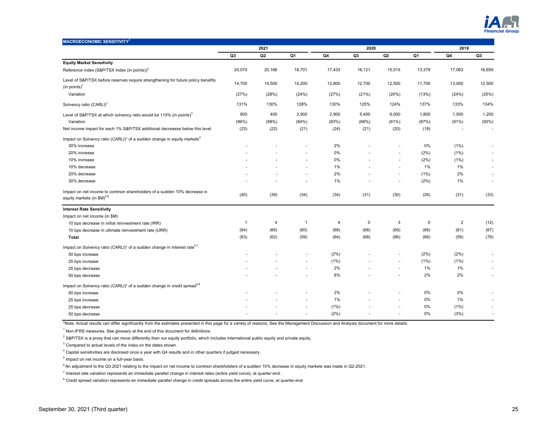

| <b>MACROECONOMIC SENSITIVITY<sup>1</sup></b>                                                                      |                |        |                          |        |        |               |        |                |                          |
|-------------------------------------------------------------------------------------------------------------------|----------------|--------|--------------------------|--------|--------|---------------|--------|----------------|--------------------------|
|                                                                                                                   |                | 2021   |                          |        | 2020   |               |        | 2019           |                          |
|                                                                                                                   | Q <sub>3</sub> | Q2     | Q1                       | Q4     | Q3     | Q2            | Q1     | Q4             | Q <sub>3</sub>           |
| <b>Equity Market Sensitivity</b>                                                                                  |                |        |                          |        |        |               |        |                |                          |
| Reference index (S&P/TSX Index (in points)) <sup>2</sup>                                                          | 20,070         | 20,166 | 18,701                   | 17,433 | 16,121 | 15,515        | 13,379 | 17,063         | 16,659                   |
| Level of S&P/TSX before reserves require strengthening for future policy benefits<br>(in points) <sup>1</sup>     | 14,700         | 14,500 | 14,200                   | 12,800 | 12,700 | 12,500        | 11,700 | 13,000         | 12,500                   |
| Variation                                                                                                         | (27%)          | (28%)  | (24%)                    | (27%)  | (21%)  | (20%)         | (13%)  | (24%)          | (25%)                    |
| Solvency ratio (CARLI) <sup>1</sup>                                                                               | 131%           | 130%   | 128%                     | 130%   | 125%   | 124%          | 137%   | 133%           | 134%                     |
| Level of S&P/TSX at which solvency ratio would be 110% (in points) <sup>3</sup>                                   | 800            | 400    | 2,900                    | 2,900  | 5,400  | 6,000         | 1,800  | 1,500          | 1,200                    |
| Variation                                                                                                         | (96%)          | (98%)  | (84%)                    | (83%)  | (66%)  | (61%)         | (87%)  | (91%)          | (93%)                    |
| Net income impact for each 1% S&P/TSX additional decreasse below this level                                       | (23)           | (22)   | (21)                     | (24)   | (21)   | (20)          | (18)   |                | $\overline{\phantom{a}}$ |
| Impact on Solvency ratio (CARLI) <sup>1</sup> of a sudden change in equity markets <sup>4</sup>                   |                |        |                          |        |        |               |        |                |                          |
| 30% increase                                                                                                      |                |        |                          | 2%     |        |               | 0%     | (1%)           | ٠                        |
| 20% increase                                                                                                      |                |        |                          | 0%     |        | ä,            | (2%)   | (1%)           | ÷.                       |
| 10% increase                                                                                                      |                |        | $\sim$                   | 0%     |        | ä,            | (2%)   | (1%)           | ٠                        |
| 10% decrease                                                                                                      |                |        | ٠                        | 1%     |        | ä,            | 1%     | 1%             |                          |
| 20% decrease                                                                                                      |                |        | $\sim$                   | 2%     |        | $\sim$        | (1%)   | 2%             | ٠                        |
| 30% decrease                                                                                                      |                |        |                          | 1%     |        | ٠             | (2%)   | 1%             | ٠                        |
| Impact on net income to common shareholders of a sudden 10% decrease in<br>equity markets (in \$M) <sup>5,6</sup> | (40)           | (39)   | (34)                     | (34)   | (31)   | (30)          | (26)   | (31)           | (33)                     |
| <b>Interest Rate Sensitivity</b>                                                                                  |                |        |                          |        |        |               |        |                |                          |
| Impact on net income (in \$M)                                                                                     |                |        |                          |        |        |               |        |                |                          |
| 10 bps decrease in initial reinvestment rate (IRR)                                                                | $\overline{1}$ | 4      | $\overline{1}$           | 4      | 0      | 3             | 0      | $\overline{2}$ | (12)                     |
| 10 bps decrease in ultimate reinvestment rate (URR)                                                               | (64)           | (66)   | (60)                     | (68)   | (68)   | (69)          | (66)   | (61)           | (67)                     |
| <b>Total</b>                                                                                                      | (63)           | (62)   | (59)                     | (64)   | (68)   | (66)          | (66)   | (59)           | (79)                     |
| Impact on Solvency ratio (CARLI) <sup>1</sup> of a sudden change in interest rate <sup>4,7</sup>                  |                |        |                          |        |        |               |        |                |                          |
| 50 bps increase                                                                                                   |                |        |                          | (2%)   |        | ٠             | (2%)   | (2%)           |                          |
| 25 bps increase                                                                                                   |                |        |                          | (1%)   |        | $\frac{1}{2}$ | (1%)   | (1%)           |                          |
| 25 bps decrease                                                                                                   |                |        | $\sim$                   | 2%     |        | $\sim$        | 1%     | 1%             |                          |
| 50 bps decrease                                                                                                   |                |        | ÷                        | 6%     |        | ٠             | 2%     | 2%             | $\sim$                   |
| Impact on Solvency ratio (CARLI) <sup>1</sup> of a sudden change in credit spread <sup>4,8</sup>                  |                |        |                          |        |        |               |        |                |                          |
| 50 bps increase                                                                                                   |                |        |                          | 2%     |        |               | 0%     | 2%             |                          |
| 25 bps increase                                                                                                   |                |        | ٠                        | 1%     |        | ÷.            | 0%     | 1%             |                          |
| 25 bps decrease                                                                                                   |                |        | ٠                        | (1%)   |        |               | 0%     | (1%)           | ×                        |
| 50 bps decrease                                                                                                   |                |        | $\overline{\phantom{a}}$ | (2%)   |        | ٠             | 0%     | (3%)           | $\overline{\phantom{a}}$ |

\*Note: Actual results can differ significantly from the estimates presented in this page for a variety of reasons. See the Management Discussion and Analysis document for more details.

<sup>1</sup> Non-IFRS measures. See glossary at the end of this document for definitions.

 $2$  S&P/TSX is a proxy that can move differently than our equity portfolio, which includes international public equity and private equity.

 $3$  Compared to actual levels of the index on the dates shown.

 $^4$  Capital sensitivities are disclosed once a year with Q4 results and in other quarters if judged necessary.

<sup>5</sup> Impact on net income on a full-year basis.

6 An adjustment to the Q3 2021 relating to the impact on net income to common shareholders of a sudden 10% decrease in equity markets was made in Q2-2021.

7 Interest rate variation represents an immediate parallel change in interest rates (entire yield curve), at quarter-end.

 $^8$  Credit spread variation represents an immediate parallel change in credit spreads across the entire yield curve, at quarter-end.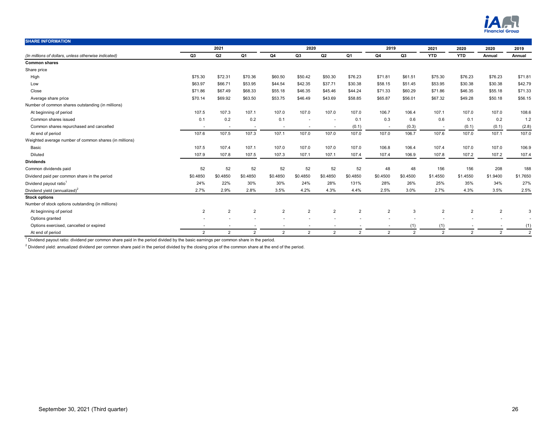

| <b>SHARE INFORMATION</b>                               |                |                          |                |                          |                          |                |                |                |               |                          |                |                |                |
|--------------------------------------------------------|----------------|--------------------------|----------------|--------------------------|--------------------------|----------------|----------------|----------------|---------------|--------------------------|----------------|----------------|----------------|
|                                                        |                | 2021                     |                |                          | 2020                     |                |                | 2019           |               | 2021                     | 2020           | 2020           | 2019           |
| (In millions of dollars, unless otherwise indicated)   | Q3             | Q2                       | Q1             | Q4                       | Q3                       | Q2             | Q1             | Q4             | Q3            | <b>YTD</b>               | <b>YTD</b>     | Annual         | Annual         |
| <b>Common shares</b>                                   |                |                          |                |                          |                          |                |                |                |               |                          |                |                |                |
| Share price                                            |                |                          |                |                          |                          |                |                |                |               |                          |                |                |                |
| High                                                   | \$75.30        | \$72.31                  | \$70.36        | \$60.50                  | \$50.42                  | \$50.30        | \$76.23        | \$71.81        | \$61.51       | \$75.30                  | \$76.23        | \$76.23        | \$71.81        |
| Low                                                    | \$63.97        | \$66.71                  | \$53.95        | \$44.54                  | \$42.35                  | \$37.71        | \$30.38        | \$58.15        | \$51.45       | \$53.95                  | \$30.38        | \$30.38        | \$42.79        |
| Close                                                  | \$71.86        | \$67.49                  | \$68.33        | \$55.18                  | \$46.35                  | \$45.46        | \$44.24        | \$71.33        | \$60.29       | \$71.86                  | \$46.35        | \$55.18        | \$71.33        |
| Average share price                                    | \$70.14        | \$69.92                  | \$63.50        | \$53.75                  | \$46.49                  | \$43.69        | \$58.85        | \$65.87        | \$56.01       | \$67.32                  | \$49.28        | \$50.18        | \$56.15        |
| Number of common shares outstanding (in millions)      |                |                          |                |                          |                          |                |                |                |               |                          |                |                |                |
| At beginning of period                                 | 107.5          | 107.3                    | 107.1          | 107.0                    | 107.0                    | 107.0          | 107.0          | 106.7          | 106.4         | 107.1                    | 107.0          | 107.0          | 108.6          |
| Common shares issued                                   | 0.1            | 0.2                      | 0.2            | 0.1                      |                          | $\sim$         | 0.1            | 0.3            | 0.6           | 0.6                      | 0.1            | 0.2            | 1.2            |
| Common shares repurchased and cancelled                | $\sim$         | $\overline{\phantom{a}}$ |                | $\overline{\phantom{a}}$ | $\overline{\phantom{a}}$ | $\sim$         | (0.1)          | ٠.             | (0.3)         | $\overline{\phantom{a}}$ | (0.1)          | (0.1)          | (2.8)          |
| At end of period                                       | 107.6          | 107.5                    | 107.3          | 107.1                    | 107.0                    | 107.0          | 107.0          | 107.0          | 106.7         | 107.6                    | 107.0          | 107.1          | 107.0          |
| Weighted average number of common shares (in millions) |                |                          |                |                          |                          |                |                |                |               |                          |                |                |                |
| Basic                                                  | 107.5          | 107.4                    | 107.1          | 107.0                    | 107.0                    | 107.0          | 107.0          | 106.8          | 106.4         | 107.4                    | 107.0          | 107.0          | 106.9          |
| Diluted                                                | 107.9          | 107.8                    | 107.5          | 107.3                    | 107.1                    | 107.1          | 107.4          | 107.4          | 106.9         | 107.8                    | 107.2          | 107.2          | 107.4          |
| <b>Dividends</b>                                       |                |                          |                |                          |                          |                |                |                |               |                          |                |                |                |
| Common dividends paid                                  | 52             | 52                       | 52             | 52                       | 52                       | 52             | 52             | 48             | 48            | 156                      | 156            | 208            | 188            |
| Dividend paid per common share in the period           | \$0.4850       | \$0.4850                 | \$0.4850       | \$0.4850                 | \$0.4850                 | \$0.4850       | \$0.4850       | \$0.4500       | \$0.4500      | \$1,4550                 | \$1,4550       | \$1.9400       | \$1.7650       |
| Dividend payout ratio <sup>1</sup>                     | 24%            | 22%                      | 30%            | 30%                      | 24%                      | 28%            | 131%           | 28%            | 26%           | 25%                      | 35%            | 34%            | 27%            |
| Dividend yield (annualized) $^2$                       | 2.7%           | 2.9%                     | 2.8%           | 3.5%                     | 4.2%                     | 4.3%           | 4.4%           | 2.5%           | 3.0%          | 2.7%                     | 4.3%           | 3.5%           | 2.5%           |
| <b>Stock options</b>                                   |                |                          |                |                          |                          |                |                |                |               |                          |                |                |                |
| Number of stock options outstanding (in millions)      |                |                          |                |                          |                          |                |                |                |               |                          |                |                |                |
| At beginning of period                                 | 2              | $\overline{2}$           | $\overline{2}$ | $\overline{2}$           | $\overline{2}$           | $\overline{2}$ | $\overline{2}$ | $\overline{2}$ | 3             | $\overline{2}$           | $\overline{2}$ | $\overline{2}$ | 3              |
| Options granted                                        |                |                          |                |                          |                          |                |                |                |               |                          |                |                |                |
| Options exercised, cancelled or expired                |                |                          |                |                          | ۰                        |                |                |                | (1)           | (1)                      |                |                | (1)            |
| At end of period                                       | $\overline{2}$ | $\overline{2}$           | 2              | $\overline{2}$           | 2                        | $\overline{2}$ | $\overline{2}$ | 2              | $\mathcal{P}$ | $\overline{2}$           | 2              | 2              | $\overline{2}$ |

 $^1$  Dividend payout ratio: dividend per common share paid in the period divided by the basic earnings per common share in the period.

 $^2$  Dividend yield: annualized dividend per common share paid in the period divided by the closing price of the common share at the end of the period.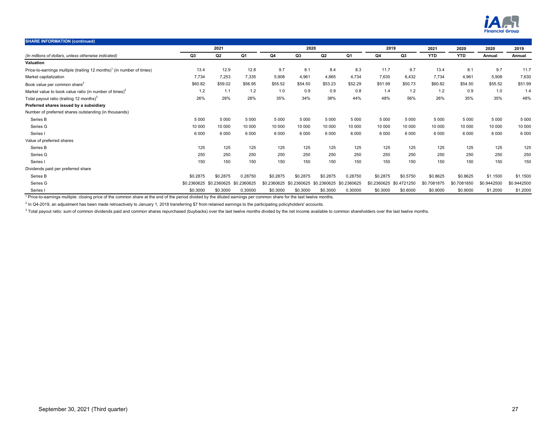

| <b>SHARE INFORMATION (continued)</b>                                              |             |          |                 |             |                |                |          |             |             |             |             |             |             |
|-----------------------------------------------------------------------------------|-------------|----------|-----------------|-------------|----------------|----------------|----------|-------------|-------------|-------------|-------------|-------------|-------------|
|                                                                                   |             | 2021     |                 |             | 2020           |                |          | 2019        |             | 2021        | 2020        | 2020        | 2019        |
| (In millions of dollars, unless otherwise indicated)                              | Q3          | Q2       | Q1              | Q4          | Q3             | Q2             | Q1       | Q4          | Q3          | <b>YTD</b>  | <b>YTD</b>  | Annual      | Annual      |
| Valuation                                                                         |             |          |                 |             |                |                |          |             |             |             |             |             |             |
| Price-to-earnings multiple (trailing 12 months) <sup>1</sup> (in number of times) | 13.4        | 12.9     | 12.8            | 9.7         | 8.1            | 8.4            | 8.3      | 11.7        | 9.7         | 13.4        | 8.1         | 9.7         | 11.7        |
| Market capitalization                                                             | 7,734       | 7,253    | 7.335           | 5,908       | 4,961          | 4,865          | 4,734    | 7,630       | 6,432       | 7,734       | 4,961       | 5,908       | 7,630       |
| Book value per common share <sup>2</sup>                                          | \$60.82     | \$59.02  | \$56.95         | \$55.52     | \$54.50        | \$53.23        | \$52.29  | \$51.99     | \$50.73     | \$60.82     | \$54.50     | \$55.52     | \$51.99     |
| Market value to book value ratio (in number of times) <sup>2</sup>                | 1.2         | 1.1      | 1.2             | 1.0         | 0.9            | 0.9            | 0.8      | 1.4         | 1.2         | 1.2         | 0.9         | 1.0         | 1.4         |
| Total payout ratio (trailing 12 months) <sup>3</sup>                              | 26%         | 26%      | 28%             | 35%         | 34%            | 38%            | 44%      | 48%         | 56%         | 26%         | 35%         | 35%         | 48%         |
| Preferred shares issued by a subsidiary                                           |             |          |                 |             |                |                |          |             |             |             |             |             |             |
| Number of preferred shares outstanding (in thousands)                             |             |          |                 |             |                |                |          |             |             |             |             |             |             |
| Series B                                                                          | 5 0 0 0     | 5 0 0 0  | 5 0 0 0         | 5 0 0 0     | 5 0 0 0        | 5 0 0 0        | 5 0 0 0  | 5 0 0 0     | 5 0 0 0     | 5 0 0 0     | 5 0 0 0     | 5 0 0 0     | 5 0 0 0     |
| Series G                                                                          | 10 000      | 10 000   | 10 000          | 10 000      | 10 000         | 10 000         | 10 000   | 10 000      | 10 000      | 10 000      | 10 000      | 10 000      | 10 000      |
| Series                                                                            | 6 0 0 0     | 6 0 0 0  | 6 0 0 0         | 6 0 0 0     | 6 0 0 0        | 6 0 0 0        | 6 0 0 0  | 6 0 0 0     | 6 0 0 0     | 6 0 0 0     | 6 0 0 0     | 6 0 0 0     | 6 0 0 0     |
| Value of preferred shares                                                         |             |          |                 |             |                |                |          |             |             |             |             |             |             |
| Series B                                                                          | 125         | 125      | 125             | 125         | 125            | 125            | 125      | 125         | 125         | 125         | 125         | 125         | 125         |
| Series G                                                                          | 250         | 250      | 250             | 250         | 250            | 250            | 250      | 250         | 250         | 250         | 250         | 250         | 250         |
| Series I                                                                          | 150         | 150      | 150             | 150         | 150            | 150            | 150      | 150         | 150         | 150         | 150         | 150         | 150         |
| Dividends paid per preferred share                                                |             |          |                 |             |                |                |          |             |             |             |             |             |             |
| Series B                                                                          | \$0.2875    | \$0,2875 | 0.28750         | \$0.2875    | \$0.2875       | \$0,2875       | 0.28750  | \$0.2875    | \$0.5750    | \$0.8625    | \$0.8625    | \$1.1500    | \$1.1500    |
| Series G                                                                          | \$0.2360625 | .2360625 | .2360625<br>\$0 | \$0.2360625 | 2360625<br>\$0 | 2360625<br>\$C | .2360625 | \$0.2360625 | \$0.4721250 | \$0.7081875 | \$0.7081850 | \$0.9442500 | \$0.9442500 |
| Series                                                                            | \$0.3000    | \$0.3000 | 0.30000         | \$0.3000    | \$0.3000       | \$0.3000       | 0.30000  | \$0.3000    | \$0.6000    | \$0.9000    | \$0.9000    | \$1.2000    | \$1.2000    |

<sup>1</sup> Price-to-earnings multiple: closing price of the common share at the end of the period divided by the diluted earnings per common share for the last twelve months.

 $^2$  In Q4-2019, an adjustment has been made retroactively to January 1, 2018 transferring \$7 from retained earnings to the participating policyholders' accounts.

<sup>3</sup> Total payout ratio: sum of common dividends paid and common shares repurchased (buybacks) over the last twelve months divided by the net income available to common shareholders over the last twelve months.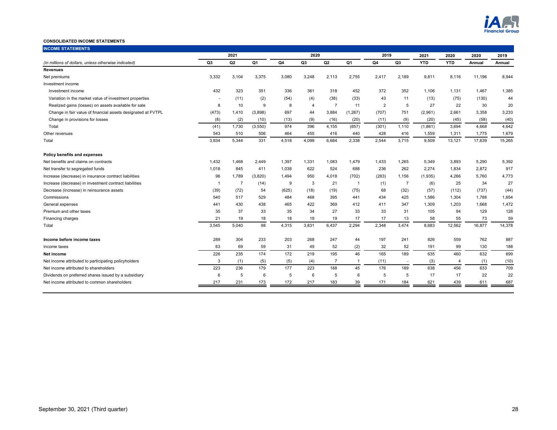

# **CONSOLIDATED INCOME STATEMENTS**

| <b>INCOME STATEMENTS</b>                                     |                |                |          |       |                |                |                |                |                |            |                |        |        |
|--------------------------------------------------------------|----------------|----------------|----------|-------|----------------|----------------|----------------|----------------|----------------|------------|----------------|--------|--------|
|                                                              |                | 2021           |          |       | 2020           |                |                | 2019           |                | 2021       | 2020<br>2020   |        | 2019   |
| (In millions of dollars, unless otherwise indicated)         | Q <sub>3</sub> | Q <sub>2</sub> | Q1       | Q4    | Q3             | Q <sub>2</sub> | Q <sub>1</sub> | Q4             | Q <sub>3</sub> | <b>YTD</b> | <b>YTD</b>     | Annual | Annual |
| <b>Revenues</b>                                              |                |                |          |       |                |                |                |                |                |            |                |        |        |
| Net premiums                                                 | 3,332          | 3,104          | 3,375    | 3,080 | 3,248          | 2,113          | 2,755          | 2,417          | 2,189          | 9,811      | 8,116          | 11,196 | 8,944  |
| Investment income                                            |                |                |          |       |                |                |                |                |                |            |                |        |        |
| Investment income                                            | 432            | 323            | 351      | 336   | 361            | 318            | 452            | 372            | 352            | 1,106      | 1,131          | 1.467  | 1,385  |
| Variation in the market value of investment properties       |                | (11)           | (2)      | (54)  | (4)            | (38)           | (33)           | 43             | 11             | (13)       | (75)           | (130)  | 44     |
| Realized gains (losses) on assets available for sale         | 8              | 10             | 9        | 8     | $\overline{4}$ | $\overline{7}$ | 11             | $\overline{2}$ | 5              | 27         | 22             | 30     | 20     |
| Change in fair value of financial assets designated at FVTPL | (473)          | 1,410          | (3,898)  | 697   | 44             | 3,884          | (1, 267)       | (707)          | 751            | (2,961)    | 2,661          | 3,358  | 3,233  |
| Change in provisions for losses                              | (8)            | (2)            | (10)     | (13)  | (9)            | (16)           | (20)           | (11)           | (9)            | (20)       | (45)           | (58)   | (40)   |
| Total                                                        | (41)           | 1,730          | (3, 550) | 974   | 396            | 4,155          | (857)          | (301)          | 1,110          | (1,861)    | 3,694          | 4,668  | 4,642  |
| Other revenues                                               | 543            | 510            | 506      | 464   | 455            | 416            | 440            | 428            | 416            | 1,559      | 1,311          | 1,775  | 1,679  |
| Total                                                        | 3,834          | 5,344          | 331      | 4,518 | 4,099          | 6,684          | 2,338          | 2,544          | 3,715          | 9.509      | 13,121         | 17,639 | 15,265 |
| Policy benefits and expenses                                 |                |                |          |       |                |                |                |                |                |            |                |        |        |
| Net benefits and claims on contracts                         | 1,432          | 1,468          | 2,449    | 1,397 | 1,331          | 1,083          | 1,479          | 1,433          | 1,265          | 5,349      | 3,893          | 5,290  | 5,392  |
| Net transfer to segregated funds                             | 1,018          | 845            | 411      | 1,038 | 622            | 524            | 688            | 236            | 262            | 2,274      | 1,834          | 2,872  | 917    |
| Increase (decrease) in insurance contract liabilities        | 96             | 1,789          | (3,820)  | 1,494 | 950            | 4,018          | (702)          | (283)          | 1,156          | (1,935)    | 4,266          | 5,760  | 4,773  |
| Increase (decrease) in investment contract liabilities       | $\overline{1}$ | $\overline{7}$ | (14)     | 9     | 3              | 21             | $\overline{1}$ | (1)            | $\overline{7}$ | (6)        | 25             | 34     | 27     |
| Decrease (increase) in reinsurance assets                    | (39)           | (72)           | 54       | (625) | (18)           | (19)           | (75)           | 68             | (32)           | (57)       | (112)          | (737)  | (44)   |
| Commissions                                                  | 540            | 517            | 529      | 484   | 468            | 395            | 441            | 434            | 425            | 1,586      | 1,304          | 1,788  | 1,654  |
| General expenses                                             | 441            | 430            | 438      | 465   | 422            | 369            | 412            | 411            | 347            | 1.309      | 1,203          | 1,668  | 1,472  |
| Premium and other taxes                                      | 35             | 37             | 33       | 35    | 34             | 27             | 33             | 33             | 31             | 105        | 94             | 129    | 128    |
| Financing charges                                            | 21             | 19             | 18       | 18    | 19             | 19             | 17             | 17             | 13             | 58         | 55             | 73     | 59     |
| Total                                                        | 3,545          | 5,040          | 98       | 4,315 | 3,831          | 6,437          | 2,294          | 2,348          | 3,474          | 8.683      | 12,562         | 16,877 | 14,378 |
| Income before income taxes                                   | 289            | 304            | 233      | 203   | 268            | 247            | 44             | 197            | 241            | 826        | 559            | 762    | 887    |
| Income taxes                                                 | 63             | 69             | 59       | 31    | 49             | 52             | (2)            | 32             | 52             | 191        | 99             | 130    | 188    |
| Net income                                                   | 226            | 235            | 174      | 172   | 219            | 195            | 46             | 165            | 189            | 635        | 460            | 632    | 699    |
| Net income attributed to participating policyholders         | 3              | (1)            | (5)      | (5)   | (4)            | $\overline{7}$ | $\overline{1}$ | (11)           | $\sim$         | (3)        | $\overline{4}$ | (1)    | (10)   |
| Net income attributed to shareholders                        | 223            | 236            | 179      | 177   | 223            | 188            | 45             | 176            | 189            | 638        | 456            | 633    | 709    |
| Dividends on preferred shares issued by a subsidiary         | 6              | 5              | 6        | 5     | 6              | 5              | 6              | 5              | 5              | 17         | 17             | 22     | 22     |
| Net income attributed to common shareholders                 | 217            | 231            | 173      | 172   | 217            | 183            | 39             | 171            | 184            | 621        | 439            | 611    | 687    |
|                                                              |                |                |          |       |                |                |                |                |                |            |                |        |        |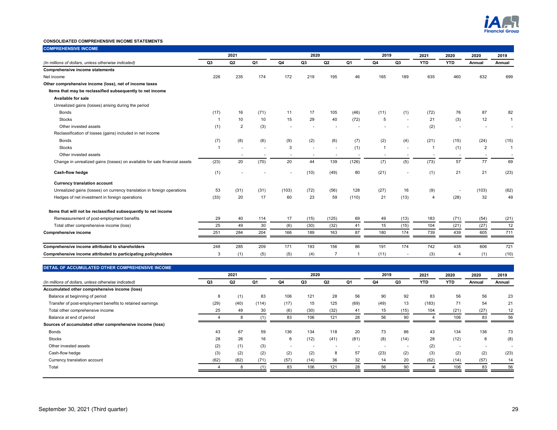

# **CONSOLIDATED COMPREHENSIVE INCOME STATEMENTS**

| <b>COMPREHENSIVE INCOME</b>                                                |                |      |      |       |                |                          |                          |                          |        |                |                          |                          |                |
|----------------------------------------------------------------------------|----------------|------|------|-------|----------------|--------------------------|--------------------------|--------------------------|--------|----------------|--------------------------|--------------------------|----------------|
|                                                                            |                | 2021 |      |       | 2020           |                          |                          | 2019                     |        | 2021           | 2020                     | 2020                     | 2019           |
| (In millions of dollars, unless otherwise indicated)                       | Q <sub>3</sub> | Q2   | Q1   | Q4    | Q <sub>3</sub> | Q <sub>2</sub>           | Q <sub>1</sub>           | Q4                       | Q3     | <b>YTD</b>     | <b>YTD</b>               | Annual                   | Annual         |
| <b>Comprehensive income statements</b>                                     |                |      |      |       |                |                          |                          |                          |        |                |                          |                          |                |
| Net income                                                                 | 226            | 235  | 174  | 172   | 219            | 195                      | 46                       | 165                      | 189    | 635            | 460                      | 632                      | 699            |
| Other comprehensive income (loss), net of income taxes                     |                |      |      |       |                |                          |                          |                          |        |                |                          |                          |                |
| Items that may be reclassified subsequently to net income                  |                |      |      |       |                |                          |                          |                          |        |                |                          |                          |                |
| Available for sale                                                         |                |      |      |       |                |                          |                          |                          |        |                |                          |                          |                |
| Unrealized gains (losses) arising during the period                        |                |      |      |       |                |                          |                          |                          |        |                |                          |                          |                |
| <b>Bonds</b>                                                               | (17)           | 16   | (71) | 11    | 17             | 105                      | (46)                     | (11)                     | (1)    | (72)           | 76                       | 87                       | 82             |
| <b>Stocks</b>                                                              |                | 10   | 10   | 15    | 29             | 40                       | (72)                     | 5                        |        | 21             | (3)                      | 12                       |                |
| Other invested assets                                                      | (1)            | 2    | (3)  |       |                |                          |                          |                          |        | (2)            |                          |                          | ٠              |
| Reclassification of losses (gains) included in net income                  |                |      |      |       |                |                          |                          |                          |        |                |                          |                          |                |
| <b>Bonds</b>                                                               | (7)            | (8)  | (6)  | (9)   | (2)            | (6)                      | (7)                      | (2)                      | (4)    | (21)           | (15)                     | (24)                     | (15)           |
| <b>Stocks</b>                                                              |                |      |      | 3     |                | $\blacksquare$           | (1)                      | $\overline{1}$           |        |                | (1)                      | $\overline{2}$           | $\overline{1}$ |
| Other invested assets                                                      |                |      |      |       | ٠              | $\overline{\phantom{a}}$ | $\overline{\phantom{a}}$ | $\overline{\phantom{a}}$ |        |                | $\overline{\phantom{a}}$ | $\overline{\phantom{a}}$ |                |
| Change in unrealized gains (losses) on available for sale financial assets | (23)           | 20   | (70) | 20    | 44             | 139                      | (126)                    | (7)                      | (5)    | (73)           | 57                       | 77                       | 69             |
| Cash-flow hedge                                                            | (1)            |      |      |       | (10)           | (49)                     | 80                       | (21)                     | ٠      | (1)            | 21                       | 21                       | (23)           |
| <b>Currency translation account</b>                                        |                |      |      |       |                |                          |                          |                          |        |                |                          |                          |                |
| Unrealized gains (losses) on currency translation in foreign operations    | 53             | (31) | (31) | (103) | (72)           | (56)                     | 128                      | (27)                     | 16     | (9)            | $\overline{\phantom{a}}$ | (103)                    | (62)           |
| Hedges of net investment in foreign operations                             | (33)           | 20   | 17   | 60    | 23             | 59                       | (110)                    | 21                       | (13)   | $\overline{4}$ | (28)                     | 32                       | 49             |
| Items that will not be reclassified subsequently to net income             |                |      |      |       |                |                          |                          |                          |        |                |                          |                          |                |
| Remeasurement of post-employment benefits                                  | 29             | 40   | 114  | 17    | (15)           | (125)                    | 69                       | 49                       | (13)   | 183            | (71)                     | (54)                     | (21)           |
| Total other comprehensive income (loss)                                    | 25             | 49   | 30   | (6)   | (30)           | (32)                     | 41                       | 15                       | (15)   | 104            | (21)                     | (27)                     | 12             |
| Comprehensive income                                                       | 251            | 284  | 204  | 166   | 189            | 163                      | 87                       | 180                      | 174    | 739            | 439                      | 605                      | 711            |
| Comprehensive income attributed to shareholders                            | 248            | 285  | 209  | 171   | 193            | 156                      | 86                       | 191                      | 174    | 742            | 435                      | 606                      | 721            |
| Comprehensive income attributed to participating policyholders             | 3              | (1)  | (5)  | (5)   | (4)            | $\overline{7}$           | -1                       | (11)                     | $\sim$ | (3)            | $\overline{4}$           | (1)                      | (10)           |

# **DETAIL OF ACCUMULATED OTHER COMPREHENSIVE INCOME**

|                                                           |      | 2021 |       |      | 2020                     |        |      | 2019 |      | 2021       | 2020       | 2020                     | 2019   |
|-----------------------------------------------------------|------|------|-------|------|--------------------------|--------|------|------|------|------------|------------|--------------------------|--------|
| (In millions of dollars, unless otherwise indicated)      | Q3   | Q2   | Q1    | Q4   | Q3                       | Q2     | Q1   | Q4   | Q3   | <b>YTD</b> | <b>YTD</b> | Annual                   | Annual |
| Accumulated other comprehensive income (loss)             |      |      |       |      |                          |        |      |      |      |            |            |                          |        |
| Balance at beginning of period                            | 8    | (1)  | 83    | 106  | 121                      | 28     | 56   | 90   | 92   | 83         | 56         | 56                       | 23     |
| Transfer of post-employment benefits to retained earnings | (29) | (40) | (114) | (17) | 15                       | 125    | (69) | (49) | 13   | (183)      | 71         | 54                       | 21     |
| Total other comprehensive income                          | 25   | 49   | 30    | (6)  | (30)                     | (32)   | 41   | 15   | (15) | 104        | (21)       | (27)                     | 12     |
| Balance at end of period                                  |      | 8    |       | 83   | 106                      | 121    | 28   | 56   | 90   |            | 106        | 83                       | 56     |
| Sources of accumulated other comprehensive income (loss)  |      |      |       |      |                          |        |      |      |      |            |            |                          |        |
| <b>Bonds</b>                                              | 43   | 67   | 59    | 136  | 134                      | 118    | 20   | 73   | 86   | 43         | 134        | 136                      | 73     |
| <b>Stocks</b>                                             | 28   | 26   | 16    | 6    | (12)                     | (41)   | (81) | (8)  | (14) | 28         | (12)       | 6                        | (8)    |
| Other invested assets                                     | (2)  | (1)  | (3)   |      | $\overline{\phantom{a}}$ | $\sim$ | . .  |      |      | (2)        | . .        | $\overline{\phantom{a}}$ |        |
| Cash-flow hedge                                           | (3)  | (2)  | (2)   | (2)  | (2)                      | 8      | 57   | (23) | (2)  | (3)        | (2)        | (2)                      | (23)   |
| Currency translation account                              | (62) | (82) | (71)  | (57) | (14)                     | 36     | 32   | 14   | 20   | (62)       | (14)       | (57)                     | 14     |
| Total                                                     |      | 8    |       | 83   | 106                      | 121    | 28   | 56   | 90   |            | 106        | 83                       | 56     |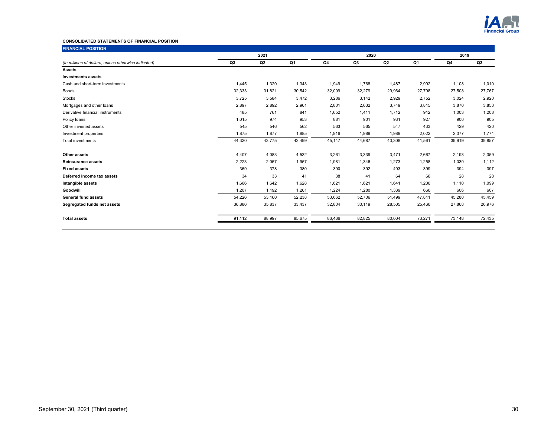

# **CONSOLIDATED STATEMENTS OF FINANCIAL POSITION**

| <b>FINANCIAL POSITION</b>                            |                |        |        |        |        |        |        |        |        |
|------------------------------------------------------|----------------|--------|--------|--------|--------|--------|--------|--------|--------|
|                                                      |                | 2021   |        |        | 2020   |        | 2019   |        |        |
| (In millions of dollars, unless otherwise indicated) | Q <sub>3</sub> | Q2     | Q1     | Q4     | Q3     | Q2     | Q1     | Q4     | Q3     |
| <b>Assets</b>                                        |                |        |        |        |        |        |        |        |        |
| <b>Investments assets</b>                            |                |        |        |        |        |        |        |        |        |
| Cash and short-term investments                      | 1,445          | 1,320  | 1,343  | 1,949  | 1,768  | 1,487  | 2,992  | 1,108  | 1,010  |
| <b>Bonds</b>                                         | 32,333         | 31,821 | 30,542 | 32,099 | 32,279 | 29,964 | 27,708 | 27,508 | 27,767 |
| <b>Stocks</b>                                        | 3,725          | 3,584  | 3,472  | 3,286  | 3,142  | 2,929  | 2,752  | 3,024  | 2,920  |
| Mortgages and other loans                            | 2,897          | 2,892  | 2,901  | 2,801  | 2,632  | 3,749  | 3,815  | 3,870  | 3,853  |
| Derivative financial instruments                     | 485            | 761    | 841    | 1,652  | 1,411  | 1,712  | 912    | 1,003  | 1,208  |
| Policy loans                                         | 1,015          | 974    | 953    | 881    | 901    | 931    | 927    | 900    | 905    |
| Other invested assets                                | 545            | 546    | 562    | 563    | 565    | 547    | 433    | 429    | 420    |
| Investment properties                                | 1,875          | 1,877  | 1,885  | 1,916  | 1,989  | 1,989  | 2,022  | 2,077  | 1,774  |
| <b>Total investments</b>                             | 44,320         | 43,775 | 42,499 | 45,147 | 44,687 | 43,308 | 41,561 | 39,919 | 39,857 |
| Other assets                                         | 4,407          | 4,083  | 4,532  | 3,261  | 3,339  | 3,471  | 2,667  | 2,193  | 2,359  |
| <b>Reinsurance assets</b>                            | 2,223          | 2,057  | 1,957  | 1,981  | 1,346  | 1.273  | 1,258  | 1,030  | 1,112  |
| <b>Fixed assets</b>                                  | 369            | 378    | 380    | 390    | 392    | 403    | 399    | 394    | 397    |
| Deferred income tax assets                           | 34             | 33     | 41     | 38     | 41     | 64     | 66     | 28     | 28     |
| Intangible assets                                    | 1,666          | 1,642  | 1,628  | 1,621  | 1,621  | 1,641  | 1,200  | 1,110  | 1,099  |
| Goodwill                                             | 1,207          | 1,192  | 1,201  | 1,224  | 1,280  | 1,339  | 660    | 606    | 607    |
| <b>General fund assets</b>                           | 54,226         | 53,160 | 52,238 | 53,662 | 52,706 | 51,499 | 47,811 | 45,280 | 45,459 |
| Segregated funds net assets                          | 36,886         | 35,837 | 33,437 | 32,804 | 30,119 | 28,505 | 25,460 | 27,868 | 26,976 |
| <b>Total assets</b>                                  | 91,112         | 88,997 | 85,675 | 86,466 | 82,825 | 80,004 | 73,271 | 73,148 | 72,435 |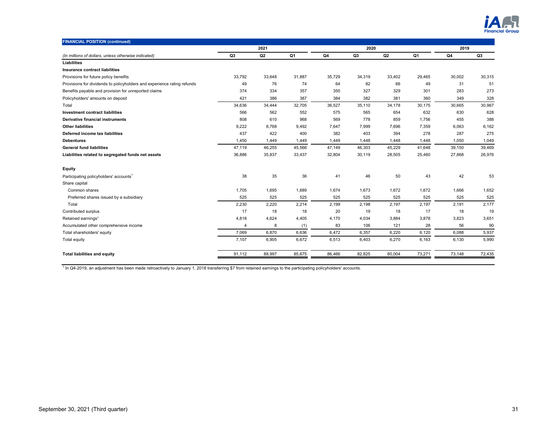

| <b>FINANCIAL POSITION (continued)</b>                                   |                       |        |        |        |        |        |                |        |        |
|-------------------------------------------------------------------------|-----------------------|--------|--------|--------|--------|--------|----------------|--------|--------|
|                                                                         |                       | 2021   |        |        | 2020   |        | 2019           |        |        |
| (In millions of dollars, unless otherwise indicated)                    | Q <sub>3</sub>        | Q2     | Q1     | Q4     | Q3     | Q2     | Q <sub>1</sub> | Q4     | Q3     |
| Liabilities                                                             |                       |        |        |        |        |        |                |        |        |
| Insurance contract liabilities                                          |                       |        |        |        |        |        |                |        |        |
| Provisions for future policy benefits                                   | 33,792                | 33,648 | 31,887 | 35,729 | 34,319 | 33,402 | 29,465         | 30,002 | 30,315 |
| Provisions for dividends to policyholders and experience rating refunds | 49                    | 76     | 74     | 64     | 82     | 66     | 49             | 31     | 51     |
| Benefits payable and provision for unreported claims                    | 374                   | 334    | 357    | 350    | 327    | 329    | 301            | 283    | 273    |
| Policyholders' amounts on deposit                                       | 421                   | 386    | 387    | 384    | 382    | 381    | 360            | 349    | 328    |
| Total                                                                   | 34,636                | 34,444 | 32,705 | 36,527 | 35,110 | 34,178 | 30,175         | 30,665 | 30,967 |
| <b>Investment contract liabilities</b>                                  | 566                   | 562    | 552    | 575    | 565    | 654    | 632            | 630    | 628    |
| <b>Derivative financial instruments</b>                                 | 808                   | 610    | 968    | 569    | 778    | 859    | 1,756          | 455    | 388    |
| <b>Other liabilities</b>                                                | 9,222                 | 8,768  | 9,492  | 7,647  | 7,999  | 7,696  | 7,359          | 6,063  | 6,162  |
| Deferred income tax liabilities                                         | 437                   | 422    | 400    | 382    | 403    | 394    | 278            | 287    | 275    |
| <b>Debentures</b>                                                       | 1,450                 | 1,449  | 1,449  | 1,449  | 1,448  | 1,448  | 1,448          | 1,050  | 1,049  |
| <b>General fund liabilities</b>                                         | 47,119                | 46,255 | 45,566 | 47,149 | 46,303 | 45,229 | 41,648         | 39,150 | 39,469 |
| Liabilities related to segregated funds net assets                      | 36,886                | 35,837 | 33,437 | 32,804 | 30,119 | 28,505 | 25,460         | 27,868 | 26,976 |
| <b>Equity</b>                                                           |                       |        |        |        |        |        |                |        |        |
| Participating policyholders' accounts <sup>1</sup>                      | 38                    | 35     | 36     | 41     | 46     | 50     | 43             | 42     | 53     |
| Share capital                                                           |                       |        |        |        |        |        |                |        |        |
| Common shares                                                           | 1,705                 | 1,695  | 1,689  | 1,674  | 1,673  | 1,672  | 1,672          | 1,666  | 1,652  |
| Preferred shares issued by a subsidiary                                 | 525                   | 525    | 525    | 525    | 525    | 525    | 525            | 525    | 525    |
| Total                                                                   | 2,230                 | 2,220  | 2,214  | 2,199  | 2,198  | 2,197  | 2,197          | 2,191  | 2,177  |
| Contributed surplus                                                     | 17                    | 18     | 18     | 20     | 19     | 18     | 17             | 18     | 19     |
| Retained earnings <sup>1</sup>                                          | 4,818                 | 4,624  | 4,405  | 4,170  | 4,034  | 3,884  | 3,878          | 3,823  | 3,651  |
| Accumulated other comprehensive income                                  | $\boldsymbol{\Delta}$ | 8      | (1)    | 83     | 106    | 121    | 28             | 56     | 90     |
| Total shareholders' equity                                              | 7,069                 | 6,870  | 6,636  | 6,472  | 6,357  | 6,220  | 6,120          | 6,088  | 5,937  |
| Total equity                                                            | 7,107                 | 6,905  | 6,672  | 6,513  | 6,403  | 6,270  | 6,163          | 6,130  | 5,990  |
| <b>Total liabilities and equity</b>                                     | 91,112                | 88,997 | 85,675 | 86,466 | 82,825 | 80,004 | 73,271         | 73,148 | 72,435 |

<sup>1</sup> In Q4-2019, an adjustment has been made retroactively to January 1, 2018 transferring \$7 from retained earnings to the participating policyholders' accounts.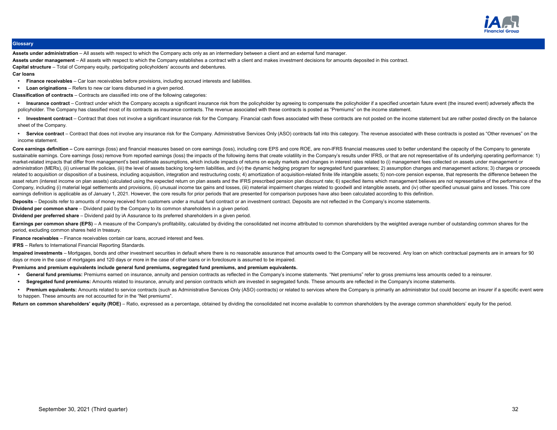

# **Glossary**

**Assets under administration** – All assets with respect to which the Company acts only as an intermediary between a client and an external fund manager.

**Assets under management** – All assets with respect to which the Company establishes a contract with a client and makes investment decisions for amounts deposited in this contract.

**Capital structure** – Total of Company equity, participating policyholders' accounts and debentures.

**Car loans**

- **Finance receivables** Car loan receivables before provisions, including accrued interests and liabilities.
- **Loan originations**  Refers to new car loans disbursed in a given period.

**Classification of contracts** – Contracts are classified into one of the following categories:

- Insurance contract Contract under which the Company accepts a significant insurance risk from the policyholder by agreeing to compensate the policyholder if a specified uncertain future event (the insured event) adversel policyholder. The Company has classified most of its contracts as insurance contracts. The revenue associated with these contracts is posted as "Premiums" on the income statement.
- Investment contract Contract that does not involve a significant insurance risk for the Company. Financial cash flows associated with these contracts are not posted on the income statement but are rather posted directl sheet of the Company.
- Service contract Contract that does not involve any insurance risk for the Company. Administrative Services Only (ASO) contracts fall into this category. The revenue associated with these contracts is posted as "Other income statement.
- Core earnings definition Core earnings (loss) and financial measures based on core earnings (loss), including core EPS and core ROE, are non-IFRS financial measures used to better understand the capacity of the Company t sustainable earnings. Core earnings (loss) remove from reported earnings (loss) the impacts of the following items that create volatility in the Company's results under IFRS, or that are not representative of its underlyin market-related impacts that differ from management's best estimate assumptions, which include impacts of returns on equity markets and changes in interest rates related to (i) management fees collected on assets under mana administration (MERs), (ii) universal life policies, (iii) the level of assets backing long-term liabilities, and (iv) the dynamic hedging program for segregated fund guarantees; 2) assumption changes and management action related to acquisition or disposition of a business, including acquisition, integration and restructuring costs; 4) amortization of acquisition-related finite life intangible assets; 5) non-core pension expense, that repre asset return (interest income on plan assets) calculated using the expected return on plan assets and the IFRS prescribed pension plan discount rate; 6) specified items which management believes are not representative of t Company, including (i) material legal settlements and provisions, (ii) unusual income tax gains and losses, (iii) material impairment charges related to goodwill and intangible assets, and (iv) other specified unusual gain earnings definition is applicable as of January 1, 2021. However, the core results for prior periods that are presented for comparison purposes have also been calculated according to this definition.
- Deposits Deposits refer to amounts of money received from customers under a mutual fund contract or an investment contract. Deposits are not reflected in the Company's income statements.

**Dividend per common share** – Dividend paid by the Company to its common shareholders in a given period.

**Dividend per preferred share** – Dividend paid by iA Assurance to its preferred shareholders in a given period.

Earnings per common share (EPS) - A measure of the Company's profitability, calculated by dividing the consolidated net income attributed to common shareholders by the weighted average number of outstanding common shares f period, excluding common shares held in treasury.

**Finance receivables** – Finance receivables contain car loans, accrued interest and fees.

**IFRS** – Refers to International Financial Reporting Standards.

Impaired investments – Mortgages, bonds and other investment securities in default where there is no reasonable assurance that amounts owed to the Company will be recovered. Any loan on which contractual payments are in ar days or more in the case of mortgages and 120 days or more in the case of other loans or in foreclosure is assumed to be impaired.

# **Premiums and premium equivalents include general fund premiums, segregated fund premiums, and premium equivalents.**

- **General fund premiums:** Premiums earned on insurance, annuity and pension contracts as reflected in the Company's income statements. "Net premiums" refer to gross premiums less amounts ceded to a reinsurer.
- **Segregated fund premiums:** Amounts related to insurance, annuity and pension contracts which are invested in segregated funds. These amounts are reflected in the Company's income statements.
- Premium equivalents: Amounts related to service contracts (such as Administrative Services Only (ASO) contracts) or related to services where the Company is primarily an administrator but could become an insurer if a speci to happen. These amounts are not accounted for in the "Net premiums".

Return on common shareholders' equity (ROE) - Ratio, expressed as a percentage, obtained by dividing the consolidated net income available to common shareholders by the average common shareholders' equity for the period.